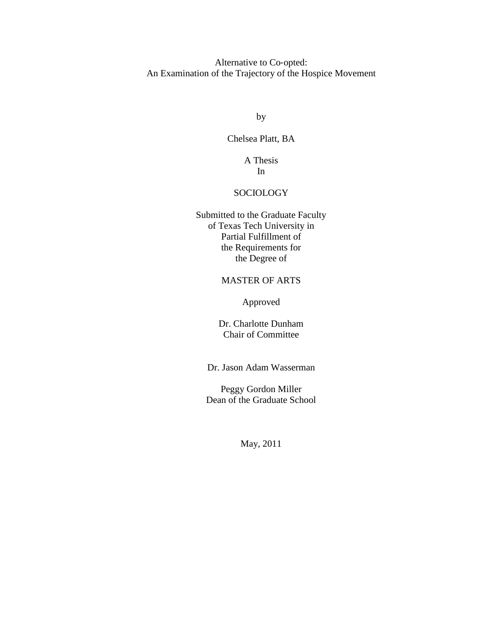Alternative to Co-opted: An Examination of the Trajectory of the Hospice Movement

by

Chelsea Platt, BA

A Thesis In

# SOCIOLOGY

Submitted to the Graduate Faculty of Texas Tech University in Partial Fulfillment of the Requirements for the Degree of

# MASTER OF ARTS

Approved

Dr. Charlotte Dunham Chair of Committee

Dr. Jason Adam Wasserman

Peggy Gordon Miller Dean of the Graduate School

May, 2011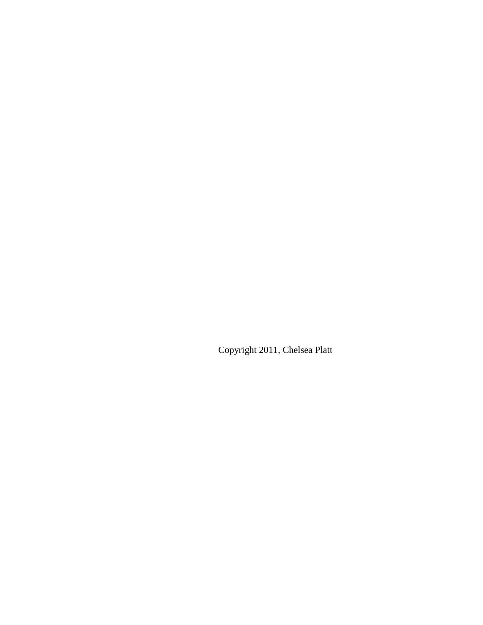Copyright 2011, Chelsea Platt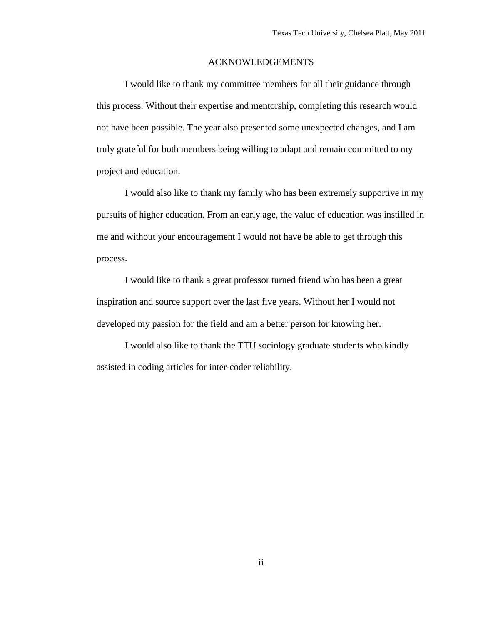# ACKNOWLEDGEMENTS

I would like to thank my committee members for all their guidance through this process. Without their expertise and mentorship, completing this research would not have been possible. The year also presented some unexpected changes, and I am truly grateful for both members being willing to adapt and remain committed to my project and education.

I would also like to thank my family who has been extremely supportive in my pursuits of higher education. From an early age, the value of education was instilled in me and without your encouragement I would not have be able to get through this process.

I would like to thank a great professor turned friend who has been a great inspiration and source support over the last five years. Without her I would not developed my passion for the field and am a better person for knowing her.

I would also like to thank the TTU sociology graduate students who kindly assisted in coding articles for inter-coder reliability.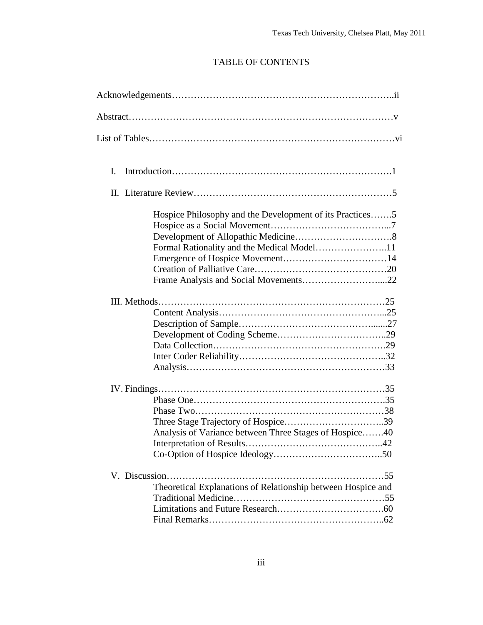# TABLE OF CONTENTS

| Ι.                                                           |
|--------------------------------------------------------------|
|                                                              |
| Hospice Philosophy and the Development of its Practices5     |
|                                                              |
|                                                              |
|                                                              |
| Analysis of Variance between Three Stages of Hospice40       |
| Theoretical Explanations of Relationship between Hospice and |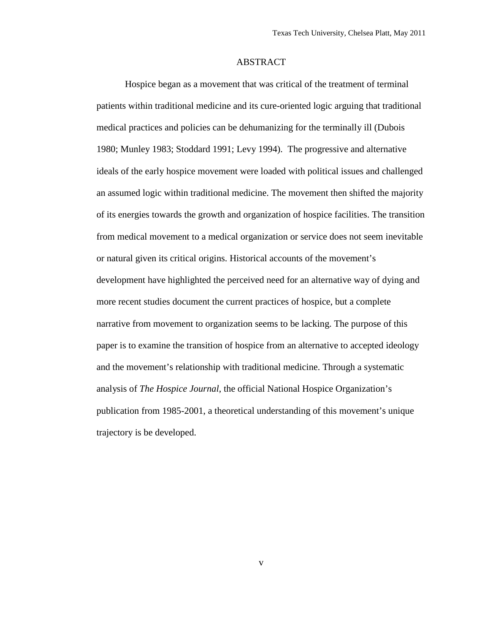# ABSTRACT

Hospice began as a movement that was critical of the treatment of terminal patients within traditional medicine and its cure-oriented logic arguing that traditional medical practices and policies can be dehumanizing for the terminally ill (Dubois 1980; Munley 1983; Stoddard 1991; Levy 1994). The progressive and alternative ideals of the early hospice movement were loaded with political issues and challenged an assumed logic within traditional medicine. The movement then shifted the majority of its energies towards the growth and organization of hospice facilities. The transition from medical movement to a medical organization or service does not seem inevitable or natural given its critical origins. Historical accounts of the movement's development have highlighted the perceived need for an alternative way of dying and more recent studies document the current practices of hospice, but a complete narrative from movement to organization seems to be lacking. The purpose of this paper is to examine the transition of hospice from an alternative to accepted ideology and the movement's relationship with traditional medicine. Through a systematic analysis of *The Hospice Journal*, the official National Hospice Organization's publication from 1985-2001, a theoretical understanding of this movement's unique trajectory is be developed.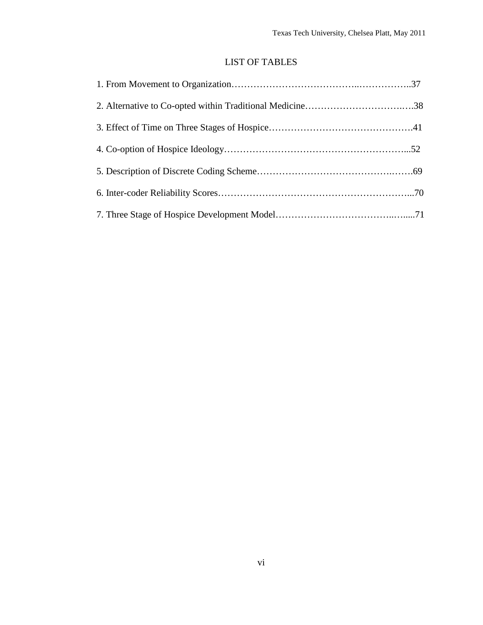# LIST OF TABLES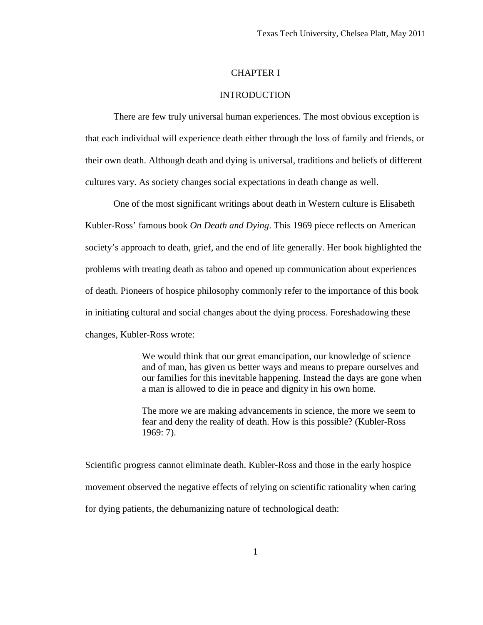# CHAPTER I

# INTRODUCTION

There are few truly universal human experiences. The most obvious exception is that each individual will experience death either through the loss of family and friends, or their own death. Although death and dying is universal, traditions and beliefs of different cultures vary. As society changes social expectations in death change as well.

One of the most significant writings about death in Western culture is Elisabeth Kubler-Ross' famous book *On Death and Dying*. This 1969 piece reflects on American society's approach to death, grief, and the end of life generally. Her book highlighted the problems with treating death as taboo and opened up communication about experiences of death. Pioneers of hospice philosophy commonly refer to the importance of this book in initiating cultural and social changes about the dying process. Foreshadowing these changes, Kubler-Ross wrote:

> We would think that our great emancipation, our knowledge of science and of man, has given us better ways and means to prepare ourselves and our families for this inevitable happening. Instead the days are gone when a man is allowed to die in peace and dignity in his own home.

The more we are making advancements in science, the more we seem to fear and deny the reality of death. How is this possible? (Kubler-Ross 1969: 7).

Scientific progress cannot eliminate death. Kubler-Ross and those in the early hospice movement observed the negative effects of relying on scientific rationality when caring for dying patients, the dehumanizing nature of technological death: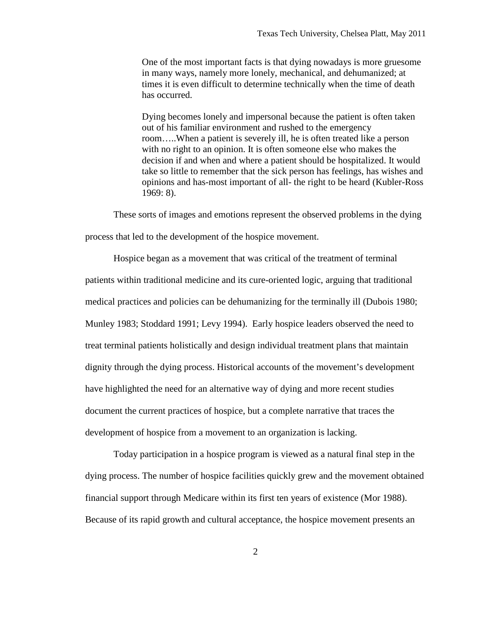One of the most important facts is that dying nowadays is more gruesome in many ways, namely more lonely, mechanical, and dehumanized; at times it is even difficult to determine technically when the time of death has occurred.

Dying becomes lonely and impersonal because the patient is often taken out of his familiar environment and rushed to the emergency room…..When a patient is severely ill, he is often treated like a person with no right to an opinion. It is often someone else who makes the decision if and when and where a patient should be hospitalized. It would take so little to remember that the sick person has feelings, has wishes and opinions and has-most important of all- the right to be heard (Kubler-Ross 1969: 8).

These sorts of images and emotions represent the observed problems in the dying process that led to the development of the hospice movement.

Hospice began as a movement that was critical of the treatment of terminal patients within traditional medicine and its cure-oriented logic, arguing that traditional medical practices and policies can be dehumanizing for the terminally ill (Dubois 1980; Munley 1983; Stoddard 1991; Levy 1994). Early hospice leaders observed the need to treat terminal patients holistically and design individual treatment plans that maintain dignity through the dying process. Historical accounts of the movement's development have highlighted the need for an alternative way of dying and more recent studies document the current practices of hospice, but a complete narrative that traces the development of hospice from a movement to an organization is lacking.

Today participation in a hospice program is viewed as a natural final step in the dying process. The number of hospice facilities quickly grew and the movement obtained financial support through Medicare within its first ten years of existence (Mor 1988). Because of its rapid growth and cultural acceptance, the hospice movement presents an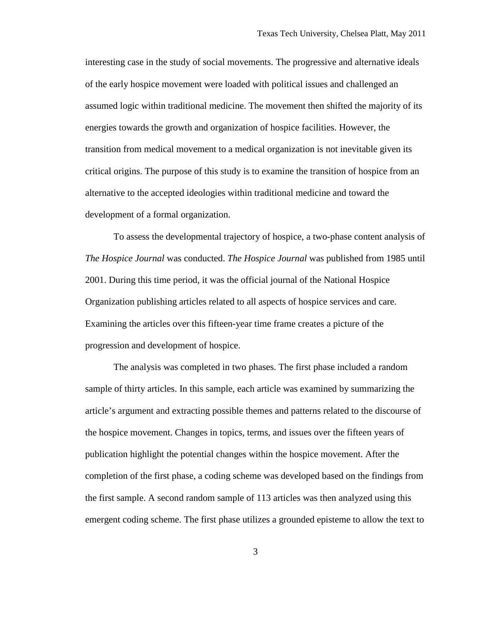interesting case in the study of social movements. The progressive and alternative ideals of the early hospice movement were loaded with political issues and challenged an assumed logic within traditional medicine. The movement then shifted the majority of its energies towards the growth and organization of hospice facilities. However, the transition from medical movement to a medical organization is not inevitable given its critical origins. The purpose of this study is to examine the transition of hospice from an alternative to the accepted ideologies within traditional medicine and toward the development of a formal organization.

To assess the developmental trajectory of hospice, a two-phase content analysis of *The Hospice Journal* was conducted. *The Hospice Journal* was published from 1985 until 2001. During this time period, it was the official journal of the National Hospice Organization publishing articles related to all aspects of hospice services and care. Examining the articles over this fifteen-year time frame creates a picture of the progression and development of hospice.

The analysis was completed in two phases. The first phase included a random sample of thirty articles. In this sample, each article was examined by summarizing the article's argument and extracting possible themes and patterns related to the discourse of the hospice movement. Changes in topics, terms, and issues over the fifteen years of publication highlight the potential changes within the hospice movement. After the completion of the first phase, a coding scheme was developed based on the findings from the first sample. A second random sample of 113 articles was then analyzed using this emergent coding scheme. The first phase utilizes a grounded episteme to allow the text to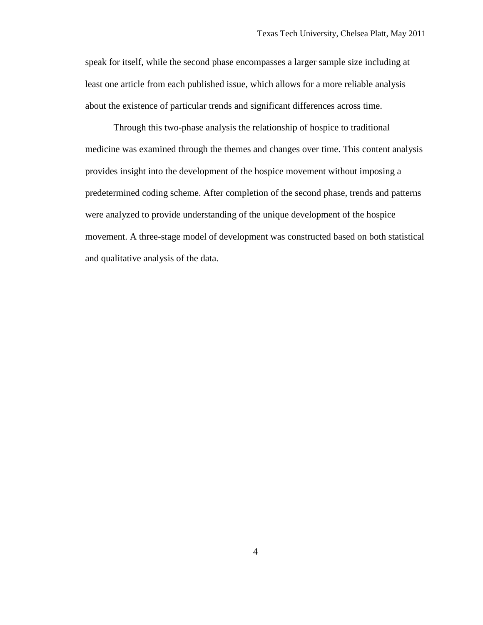speak for itself, while the second phase encompasses a larger sample size including at least one article from each published issue, which allows for a more reliable analysis about the existence of particular trends and significant differences across time.

Through this two-phase analysis the relationship of hospice to traditional medicine was examined through the themes and changes over time. This content analysis provides insight into the development of the hospice movement without imposing a predetermined coding scheme. After completion of the second phase, trends and patterns were analyzed to provide understanding of the unique development of the hospice movement. A three-stage model of development was constructed based on both statistical and qualitative analysis of the data.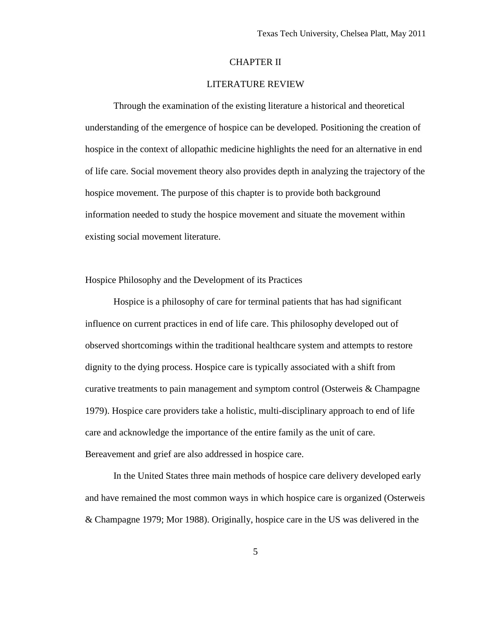# CHAPTER II

# LITERATURE REVIEW

Through the examination of the existing literature a historical and theoretical understanding of the emergence of hospice can be developed. Positioning the creation of hospice in the context of allopathic medicine highlights the need for an alternative in end of life care. Social movement theory also provides depth in analyzing the trajectory of the hospice movement. The purpose of this chapter is to provide both background information needed to study the hospice movement and situate the movement within existing social movement literature.

Hospice Philosophy and the Development of its Practices

Hospice is a philosophy of care for terminal patients that has had significant influence on current practices in end of life care. This philosophy developed out of observed shortcomings within the traditional healthcare system and attempts to restore dignity to the dying process. Hospice care is typically associated with a shift from curative treatments to pain management and symptom control (Osterweis & Champagne 1979). Hospice care providers take a holistic, multi-disciplinary approach to end of life care and acknowledge the importance of the entire family as the unit of care. Bereavement and grief are also addressed in hospice care.

In the United States three main methods of hospice care delivery developed early and have remained the most common ways in which hospice care is organized (Osterweis & Champagne 1979; Mor 1988). Originally, hospice care in the US was delivered in the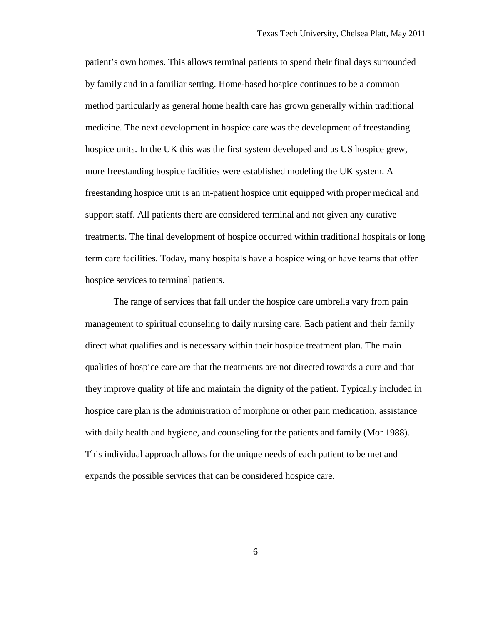patient's own homes. This allows terminal patients to spend their final days surrounded by family and in a familiar setting. Home-based hospice continues to be a common method particularly as general home health care has grown generally within traditional medicine. The next development in hospice care was the development of freestanding hospice units. In the UK this was the first system developed and as US hospice grew, more freestanding hospice facilities were established modeling the UK system. A freestanding hospice unit is an in-patient hospice unit equipped with proper medical and support staff. All patients there are considered terminal and not given any curative treatments. The final development of hospice occurred within traditional hospitals or long term care facilities. Today, many hospitals have a hospice wing or have teams that offer hospice services to terminal patients.

The range of services that fall under the hospice care umbrella vary from pain management to spiritual counseling to daily nursing care. Each patient and their family direct what qualifies and is necessary within their hospice treatment plan. The main qualities of hospice care are that the treatments are not directed towards a cure and that they improve quality of life and maintain the dignity of the patient. Typically included in hospice care plan is the administration of morphine or other pain medication, assistance with daily health and hygiene, and counseling for the patients and family (Mor 1988). This individual approach allows for the unique needs of each patient to be met and expands the possible services that can be considered hospice care.

6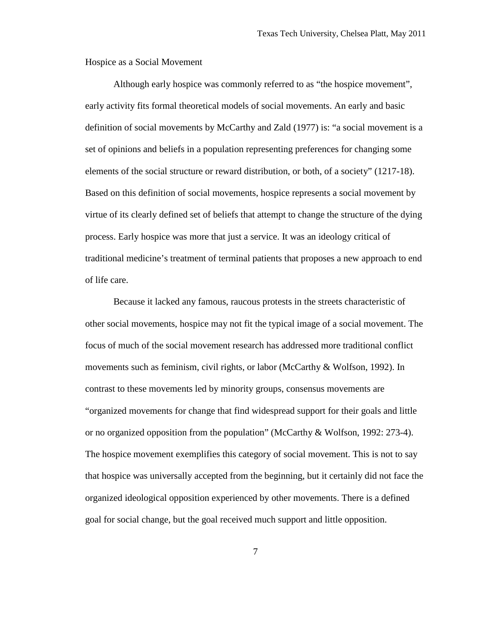Hospice as a Social Movement

Although early hospice was commonly referred to as "the hospice movement", early activity fits formal theoretical models of social movements. An early and basic definition of social movements by McCarthy and Zald (1977) is: "a social movement is a set of opinions and beliefs in a population representing preferences for changing some elements of the social structure or reward distribution, or both, of a society" (1217-18). Based on this definition of social movements, hospice represents a social movement by virtue of its clearly defined set of beliefs that attempt to change the structure of the dying process. Early hospice was more that just a service. It was an ideology critical of traditional medicine's treatment of terminal patients that proposes a new approach to end of life care.

Because it lacked any famous, raucous protests in the streets characteristic of other social movements, hospice may not fit the typical image of a social movement. The focus of much of the social movement research has addressed more traditional conflict movements such as feminism, civil rights, or labor (McCarthy & Wolfson, 1992). In contrast to these movements led by minority groups, consensus movements are "organized movements for change that find widespread support for their goals and little or no organized opposition from the population" (McCarthy & Wolfson, 1992: 273-4). The hospice movement exemplifies this category of social movement. This is not to say that hospice was universally accepted from the beginning, but it certainly did not face the organized ideological opposition experienced by other movements. There is a defined goal for social change, but the goal received much support and little opposition.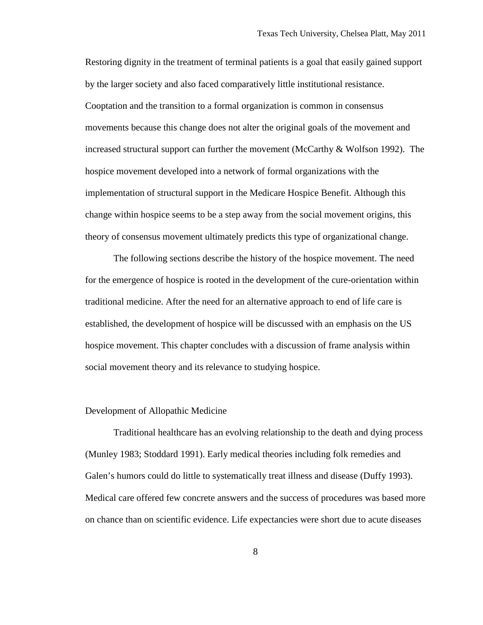Restoring dignity in the treatment of terminal patients is a goal that easily gained support by the larger society and also faced comparatively little institutional resistance. Cooptation and the transition to a formal organization is common in consensus movements because this change does not alter the original goals of the movement and increased structural support can further the movement (McCarthy & Wolfson 1992). The hospice movement developed into a network of formal organizations with the implementation of structural support in the Medicare Hospice Benefit. Although this change within hospice seems to be a step away from the social movement origins, this theory of consensus movement ultimately predicts this type of organizational change.

The following sections describe the history of the hospice movement. The need for the emergence of hospice is rooted in the development of the cure-orientation within traditional medicine. After the need for an alternative approach to end of life care is established, the development of hospice will be discussed with an emphasis on the US hospice movement. This chapter concludes with a discussion of frame analysis within social movement theory and its relevance to studying hospice.

#### Development of Allopathic Medicine

Traditional healthcare has an evolving relationship to the death and dying process (Munley 1983; Stoddard 1991). Early medical theories including folk remedies and Galen's humors could do little to systematically treat illness and disease (Duffy 1993). Medical care offered few concrete answers and the success of procedures was based more on chance than on scientific evidence. Life expectancies were short due to acute diseases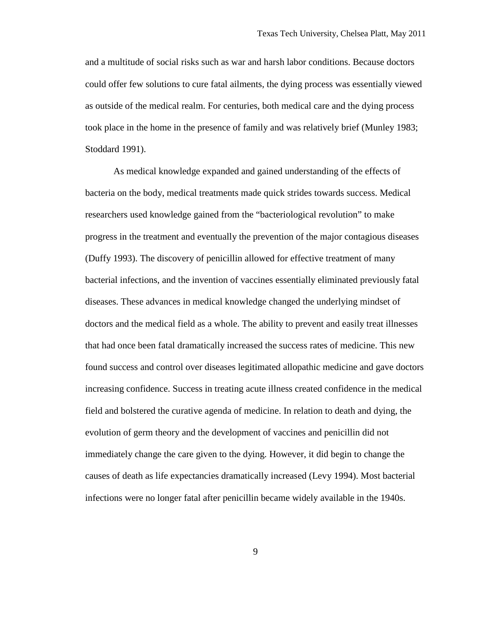and a multitude of social risks such as war and harsh labor conditions. Because doctors could offer few solutions to cure fatal ailments, the dying process was essentially viewed as outside of the medical realm. For centuries, both medical care and the dying process took place in the home in the presence of family and was relatively brief (Munley 1983; Stoddard 1991).

As medical knowledge expanded and gained understanding of the effects of bacteria on the body, medical treatments made quick strides towards success. Medical researchers used knowledge gained from the "bacteriological revolution" to make progress in the treatment and eventually the prevention of the major contagious diseases (Duffy 1993). The discovery of penicillin allowed for effective treatment of many bacterial infections, and the invention of vaccines essentially eliminated previously fatal diseases. These advances in medical knowledge changed the underlying mindset of doctors and the medical field as a whole. The ability to prevent and easily treat illnesses that had once been fatal dramatically increased the success rates of medicine. This new found success and control over diseases legitimated allopathic medicine and gave doctors increasing confidence. Success in treating acute illness created confidence in the medical field and bolstered the curative agenda of medicine. In relation to death and dying, the evolution of germ theory and the development of vaccines and penicillin did not immediately change the care given to the dying. However, it did begin to change the causes of death as life expectancies dramatically increased (Levy 1994). Most bacterial infections were no longer fatal after penicillin became widely available in the 1940s.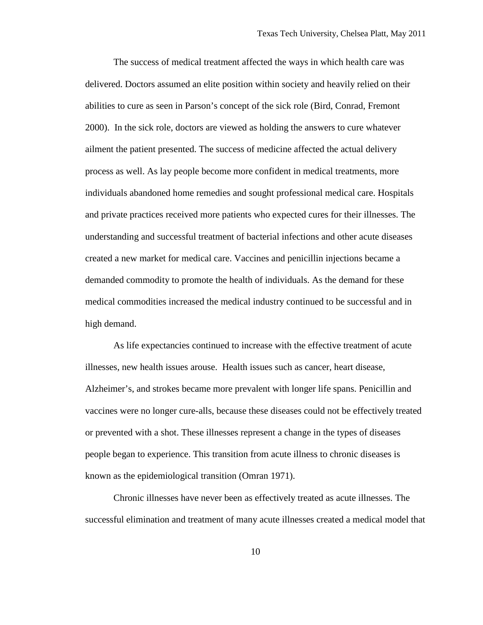The success of medical treatment affected the ways in which health care was delivered. Doctors assumed an elite position within society and heavily relied on their abilities to cure as seen in Parson's concept of the sick role (Bird, Conrad, Fremont 2000). In the sick role, doctors are viewed as holding the answers to cure whatever ailment the patient presented. The success of medicine affected the actual delivery process as well. As lay people become more confident in medical treatments, more individuals abandoned home remedies and sought professional medical care. Hospitals and private practices received more patients who expected cures for their illnesses. The understanding and successful treatment of bacterial infections and other acute diseases created a new market for medical care. Vaccines and penicillin injections became a demanded commodity to promote the health of individuals. As the demand for these medical commodities increased the medical industry continued to be successful and in high demand.

As life expectancies continued to increase with the effective treatment of acute illnesses, new health issues arouse. Health issues such as cancer, heart disease, Alzheimer's, and strokes became more prevalent with longer life spans. Penicillin and vaccines were no longer cure-alls, because these diseases could not be effectively treated or prevented with a shot. These illnesses represent a change in the types of diseases people began to experience. This transition from acute illness to chronic diseases is known as the epidemiological transition (Omran 1971).

Chronic illnesses have never been as effectively treated as acute illnesses. The successful elimination and treatment of many acute illnesses created a medical model that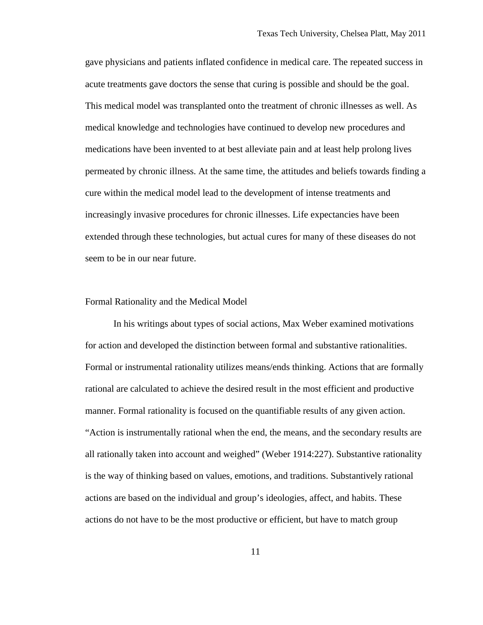gave physicians and patients inflated confidence in medical care. The repeated success in acute treatments gave doctors the sense that curing is possible and should be the goal. This medical model was transplanted onto the treatment of chronic illnesses as well. As medical knowledge and technologies have continued to develop new procedures and medications have been invented to at best alleviate pain and at least help prolong lives permeated by chronic illness. At the same time, the attitudes and beliefs towards finding a cure within the medical model lead to the development of intense treatments and increasingly invasive procedures for chronic illnesses. Life expectancies have been extended through these technologies, but actual cures for many of these diseases do not seem to be in our near future.

#### Formal Rationality and the Medical Model

In his writings about types of social actions, Max Weber examined motivations for action and developed the distinction between formal and substantive rationalities. Formal or instrumental rationality utilizes means/ends thinking. Actions that are formally rational are calculated to achieve the desired result in the most efficient and productive manner. Formal rationality is focused on the quantifiable results of any given action. "Action is instrumentally rational when the end, the means, and the secondary results are all rationally taken into account and weighed" (Weber 1914:227). Substantive rationality is the way of thinking based on values, emotions, and traditions. Substantively rational actions are based on the individual and group's ideologies, affect, and habits. These actions do not have to be the most productive or efficient, but have to match group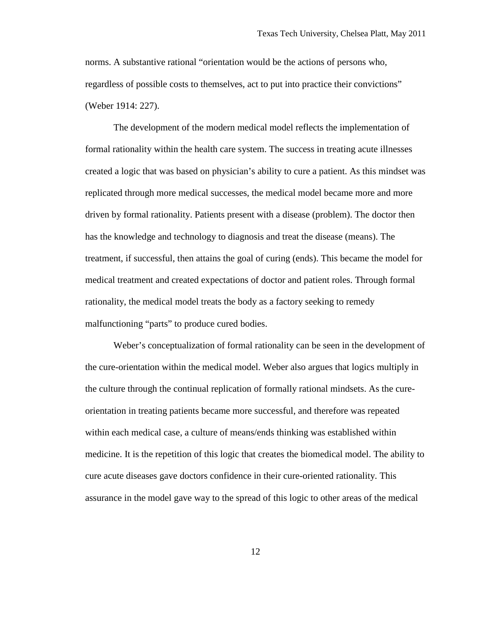norms. A substantive rational "orientation would be the actions of persons who, regardless of possible costs to themselves, act to put into practice their convictions" (Weber 1914: 227).

The development of the modern medical model reflects the implementation of formal rationality within the health care system. The success in treating acute illnesses created a logic that was based on physician's ability to cure a patient. As this mindset was replicated through more medical successes, the medical model became more and more driven by formal rationality. Patients present with a disease (problem). The doctor then has the knowledge and technology to diagnosis and treat the disease (means). The treatment, if successful, then attains the goal of curing (ends). This became the model for medical treatment and created expectations of doctor and patient roles. Through formal rationality, the medical model treats the body as a factory seeking to remedy malfunctioning "parts" to produce cured bodies.

Weber's conceptualization of formal rationality can be seen in the development of the cure-orientation within the medical model. Weber also argues that logics multiply in the culture through the continual replication of formally rational mindsets. As the cureorientation in treating patients became more successful, and therefore was repeated within each medical case, a culture of means/ends thinking was established within medicine. It is the repetition of this logic that creates the biomedical model. The ability to cure acute diseases gave doctors confidence in their cure-oriented rationality. This assurance in the model gave way to the spread of this logic to other areas of the medical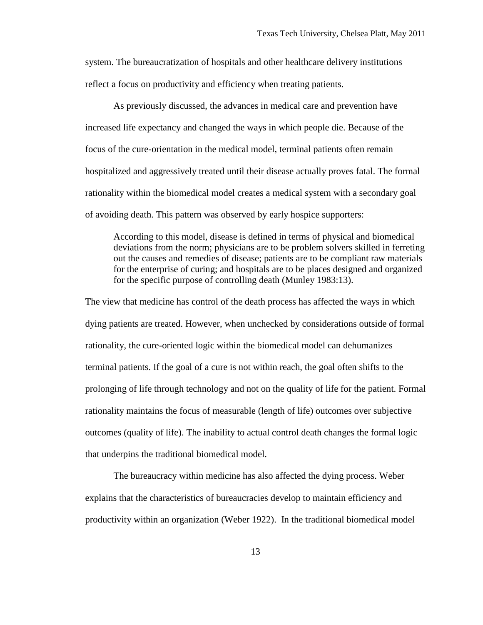system. The bureaucratization of hospitals and other healthcare delivery institutions reflect a focus on productivity and efficiency when treating patients.

As previously discussed, the advances in medical care and prevention have increased life expectancy and changed the ways in which people die. Because of the focus of the cure-orientation in the medical model, terminal patients often remain hospitalized and aggressively treated until their disease actually proves fatal. The formal rationality within the biomedical model creates a medical system with a secondary goal of avoiding death. This pattern was observed by early hospice supporters:

According to this model, disease is defined in terms of physical and biomedical deviations from the norm; physicians are to be problem solvers skilled in ferreting out the causes and remedies of disease; patients are to be compliant raw materials for the enterprise of curing; and hospitals are to be places designed and organized for the specific purpose of controlling death (Munley 1983:13).

The view that medicine has control of the death process has affected the ways in which dying patients are treated. However, when unchecked by considerations outside of formal rationality, the cure-oriented logic within the biomedical model can dehumanizes terminal patients. If the goal of a cure is not within reach, the goal often shifts to the prolonging of life through technology and not on the quality of life for the patient. Formal rationality maintains the focus of measurable (length of life) outcomes over subjective outcomes (quality of life). The inability to actual control death changes the formal logic that underpins the traditional biomedical model.

The bureaucracy within medicine has also affected the dying process. Weber explains that the characteristics of bureaucracies develop to maintain efficiency and productivity within an organization (Weber 1922). In the traditional biomedical model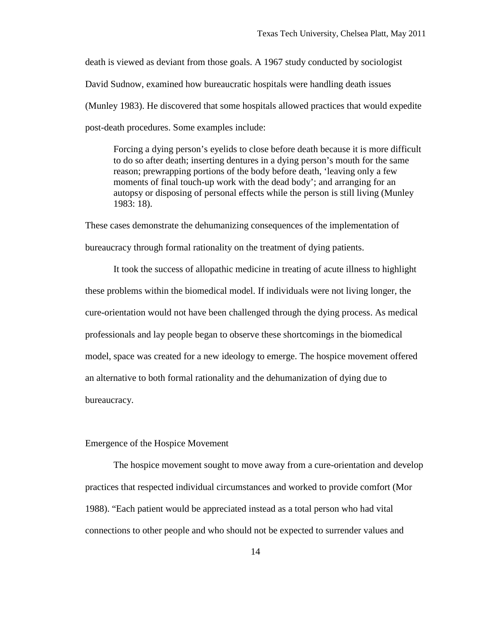death is viewed as deviant from those goals. A 1967 study conducted by sociologist David Sudnow, examined how bureaucratic hospitals were handling death issues (Munley 1983). He discovered that some hospitals allowed practices that would expedite post-death procedures. Some examples include:

Forcing a dying person's eyelids to close before death because it is more difficult to do so after death; inserting dentures in a dying person's mouth for the same reason; prewrapping portions of the body before death, 'leaving only a few moments of final touch-up work with the dead body'; and arranging for an autopsy or disposing of personal effects while the person is still living (Munley 1983: 18).

These cases demonstrate the dehumanizing consequences of the implementation of bureaucracy through formal rationality on the treatment of dying patients.

It took the success of allopathic medicine in treating of acute illness to highlight these problems within the biomedical model. If individuals were not living longer, the cure-orientation would not have been challenged through the dying process. As medical professionals and lay people began to observe these shortcomings in the biomedical model, space was created for a new ideology to emerge. The hospice movement offered an alternative to both formal rationality and the dehumanization of dying due to bureaucracy.

# Emergence of the Hospice Movement

The hospice movement sought to move away from a cure-orientation and develop practices that respected individual circumstances and worked to provide comfort (Mor 1988). "Each patient would be appreciated instead as a total person who had vital connections to other people and who should not be expected to surrender values and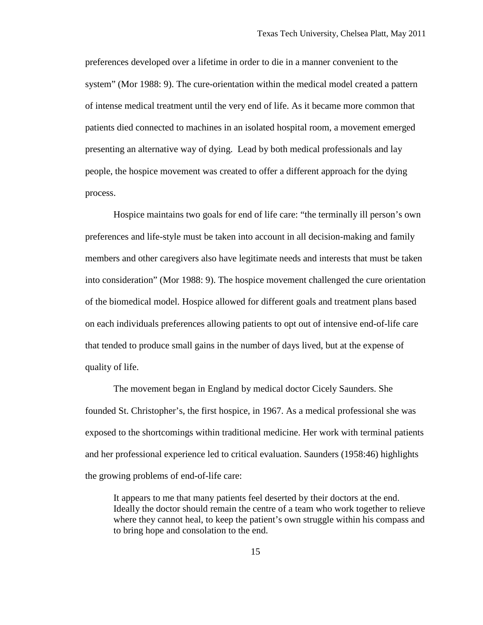preferences developed over a lifetime in order to die in a manner convenient to the system" (Mor 1988: 9). The cure-orientation within the medical model created a pattern of intense medical treatment until the very end of life. As it became more common that patients died connected to machines in an isolated hospital room, a movement emerged presenting an alternative way of dying. Lead by both medical professionals and lay people, the hospice movement was created to offer a different approach for the dying process.

Hospice maintains two goals for end of life care: "the terminally ill person's own preferences and life-style must be taken into account in all decision-making and family members and other caregivers also have legitimate needs and interests that must be taken into consideration" (Mor 1988: 9). The hospice movement challenged the cure orientation of the biomedical model. Hospice allowed for different goals and treatment plans based on each individuals preferences allowing patients to opt out of intensive end-of-life care that tended to produce small gains in the number of days lived, but at the expense of quality of life.

The movement began in England by medical doctor Cicely Saunders. She founded St. Christopher's, the first hospice, in 1967. As a medical professional she was exposed to the shortcomings within traditional medicine. Her work with terminal patients and her professional experience led to critical evaluation. Saunders (1958:46) highlights the growing problems of end-of-life care:

It appears to me that many patients feel deserted by their doctors at the end. Ideally the doctor should remain the centre of a team who work together to relieve where they cannot heal, to keep the patient's own struggle within his compass and to bring hope and consolation to the end.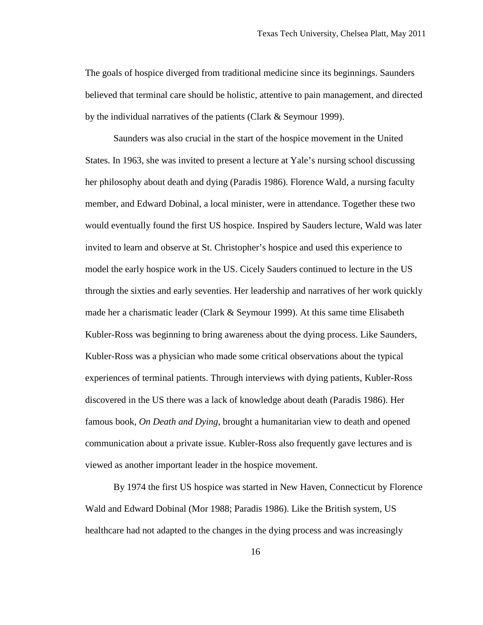The goals of hospice diverged from traditional medicine since its beginnings. Saunders believed that terminal care should be holistic, attentive to pain management, and directed by the individual narratives of the patients (Clark & Seymour 1999).

Saunders was also crucial in the start of the hospice movement in the United States. In 1963, she was invited to present a lecture at Yale's nursing school discussing her philosophy about death and dying (Paradis 1986). Florence Wald, a nursing faculty member, and Edward Dobinal, a local minister, were in attendance. Together these two would eventually found the first US hospice. Inspired by Sauders lecture, Wald was later invited to learn and observe at St. Christopher's hospice and used this experience to model the early hospice work in the US. Cicely Sauders continued to lecture in the US through the sixties and early seventies. Her leadership and narratives of her work quickly made her a charismatic leader (Clark & Seymour 1999). At this same time Elisabeth Kubler-Ross was beginning to bring awareness about the dying process. Like Saunders, Kubler-Ross was a physician who made some critical observations about the typical experiences of terminal patients. Through interviews with dying patients, Kubler-Ross discovered in the US there was a lack of knowledge about death (Paradis 1986). Her famous book, *On Death and Dying*, brought a humanitarian view to death and opened communication about a private issue. Kubler-Ross also frequently gave lectures and is viewed as another important leader in the hospice movement.

By 1974 the first US hospice was started in New Haven, Connecticut by Florence Wald and Edward Dobinal (Mor 1988; Paradis 1986). Like the British system, US healthcare had not adapted to the changes in the dying process and was increasingly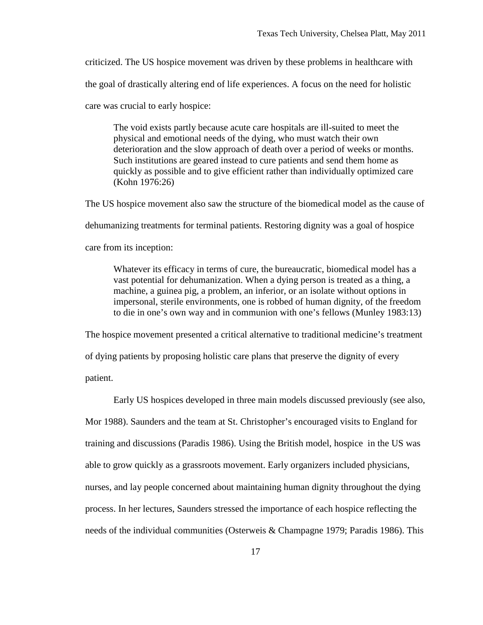criticized. The US hospice movement was driven by these problems in healthcare with

the goal of drastically altering end of life experiences. A focus on the need for holistic

care was crucial to early hospice:

The void exists partly because acute care hospitals are ill-suited to meet the physical and emotional needs of the dying, who must watch their own deterioration and the slow approach of death over a period of weeks or months. Such institutions are geared instead to cure patients and send them home as quickly as possible and to give efficient rather than individually optimized care (Kohn 1976:26)

The US hospice movement also saw the structure of the biomedical model as the cause of dehumanizing treatments for terminal patients. Restoring dignity was a goal of hospice care from its inception:

Whatever its efficacy in terms of cure, the bureaucratic, biomedical model has a vast potential for dehumanization. When a dying person is treated as a thing, a machine, a guinea pig, a problem, an inferior, or an isolate without options in impersonal, sterile environments, one is robbed of human dignity, of the freedom to die in one's own way and in communion with one's fellows (Munley 1983:13)

The hospice movement presented a critical alternative to traditional medicine's treatment of dying patients by proposing holistic care plans that preserve the dignity of every patient.

Early US hospices developed in three main models discussed previously (see also, Mor 1988). Saunders and the team at St. Christopher's encouraged visits to England for training and discussions (Paradis 1986). Using the British model, hospice in the US was able to grow quickly as a grassroots movement. Early organizers included physicians, nurses, and lay people concerned about maintaining human dignity throughout the dying process. In her lectures, Saunders stressed the importance of each hospice reflecting the needs of the individual communities (Osterweis & Champagne 1979; Paradis 1986). This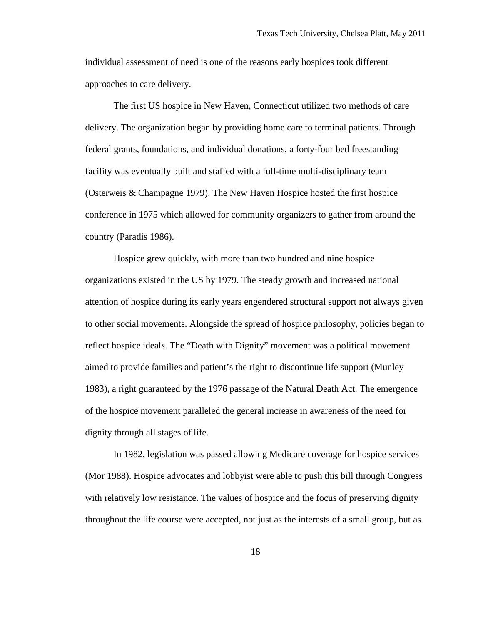individual assessment of need is one of the reasons early hospices took different approaches to care delivery.

The first US hospice in New Haven, Connecticut utilized two methods of care delivery. The organization began by providing home care to terminal patients. Through federal grants, foundations, and individual donations, a forty-four bed freestanding facility was eventually built and staffed with a full-time multi-disciplinary team (Osterweis & Champagne 1979). The New Haven Hospice hosted the first hospice conference in 1975 which allowed for community organizers to gather from around the country (Paradis 1986).

Hospice grew quickly, with more than two hundred and nine hospice organizations existed in the US by 1979. The steady growth and increased national attention of hospice during its early years engendered structural support not always given to other social movements. Alongside the spread of hospice philosophy, policies began to reflect hospice ideals. The "Death with Dignity" movement was a political movement aimed to provide families and patient's the right to discontinue life support (Munley 1983), a right guaranteed by the 1976 passage of the Natural Death Act. The emergence of the hospice movement paralleled the general increase in awareness of the need for dignity through all stages of life.

In 1982, legislation was passed allowing Medicare coverage for hospice services (Mor 1988). Hospice advocates and lobbyist were able to push this bill through Congress with relatively low resistance. The values of hospice and the focus of preserving dignity throughout the life course were accepted, not just as the interests of a small group, but as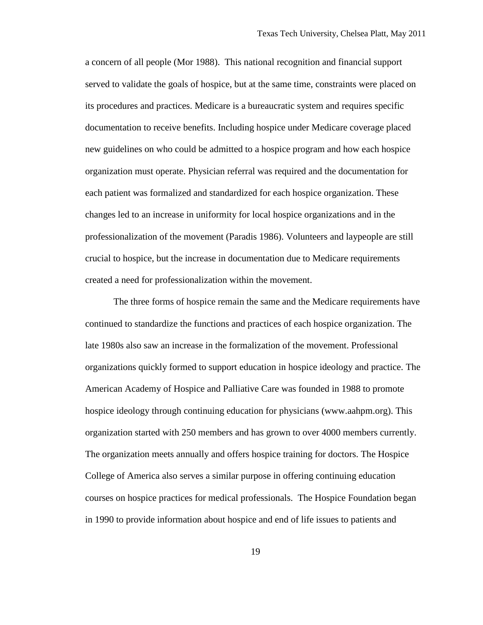a concern of all people (Mor 1988). This national recognition and financial support served to validate the goals of hospice, but at the same time, constraints were placed on its procedures and practices. Medicare is a bureaucratic system and requires specific documentation to receive benefits. Including hospice under Medicare coverage placed new guidelines on who could be admitted to a hospice program and how each hospice organization must operate. Physician referral was required and the documentation for each patient was formalized and standardized for each hospice organization. These changes led to an increase in uniformity for local hospice organizations and in the professionalization of the movement (Paradis 1986). Volunteers and laypeople are still crucial to hospice, but the increase in documentation due to Medicare requirements created a need for professionalization within the movement.

The three forms of hospice remain the same and the Medicare requirements have continued to standardize the functions and practices of each hospice organization. The late 1980s also saw an increase in the formalization of the movement. Professional organizations quickly formed to support education in hospice ideology and practice. The American Academy of Hospice and Palliative Care was founded in 1988 to promote hospice ideology through continuing education for physicians (www.aahpm.org). This organization started with 250 members and has grown to over 4000 members currently. The organization meets annually and offers hospice training for doctors. The Hospice College of America also serves a similar purpose in offering continuing education courses on hospice practices for medical professionals. The Hospice Foundation began in 1990 to provide information about hospice and end of life issues to patients and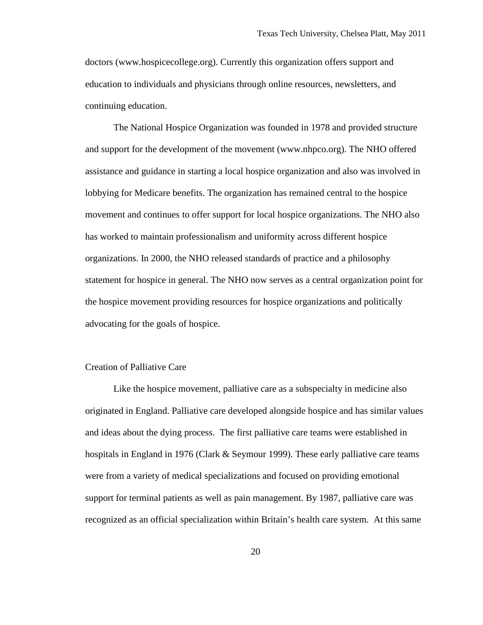doctors (www.hospicecollege.org). Currently this organization offers support and education to individuals and physicians through online resources, newsletters, and continuing education.

The National Hospice Organization was founded in 1978 and provided structure and support for the development of the movement (www.nhpco.org). The NHO offered assistance and guidance in starting a local hospice organization and also was involved in lobbying for Medicare benefits. The organization has remained central to the hospice movement and continues to offer support for local hospice organizations. The NHO also has worked to maintain professionalism and uniformity across different hospice organizations. In 2000, the NHO released standards of practice and a philosophy statement for hospice in general. The NHO now serves as a central organization point for the hospice movement providing resources for hospice organizations and politically advocating for the goals of hospice.

### Creation of Palliative Care

Like the hospice movement, palliative care as a subspecialty in medicine also originated in England. Palliative care developed alongside hospice and has similar values and ideas about the dying process. The first palliative care teams were established in hospitals in England in 1976 (Clark & Seymour 1999). These early palliative care teams were from a variety of medical specializations and focused on providing emotional support for terminal patients as well as pain management. By 1987, palliative care was recognized as an official specialization within Britain's health care system. At this same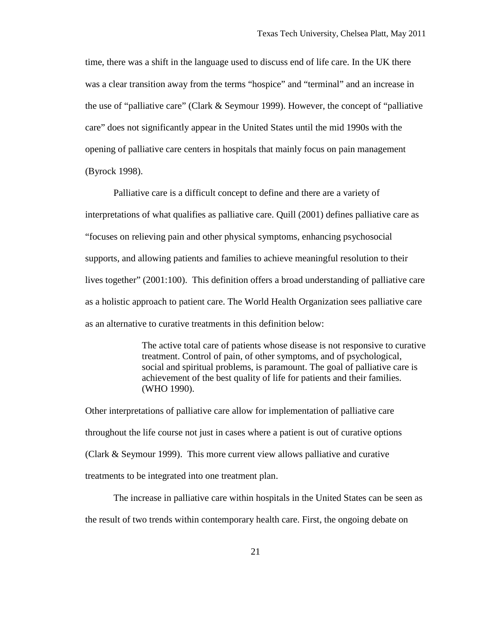time, there was a shift in the language used to discuss end of life care. In the UK there was a clear transition away from the terms "hospice" and "terminal" and an increase in the use of "palliative care" (Clark & Seymour 1999). However, the concept of "palliative care" does not significantly appear in the United States until the mid 1990s with the opening of palliative care centers in hospitals that mainly focus on pain management (Byrock 1998).

Palliative care is a difficult concept to define and there are a variety of interpretations of what qualifies as palliative care. Quill (2001) defines palliative care as "focuses on relieving pain and other physical symptoms, enhancing psychosocial supports, and allowing patients and families to achieve meaningful resolution to their lives together" (2001:100). This definition offers a broad understanding of palliative care as a holistic approach to patient care. The World Health Organization sees palliative care as an alternative to curative treatments in this definition below:

> The active total care of patients whose disease is not responsive to curative treatment. Control of pain, of other symptoms, and of psychological, social and spiritual problems, is paramount. The goal of palliative care is achievement of the best quality of life for patients and their families. (WHO 1990).

Other interpretations of palliative care allow for implementation of palliative care throughout the life course not just in cases where a patient is out of curative options (Clark & Seymour 1999). This more current view allows palliative and curative treatments to be integrated into one treatment plan.

The increase in palliative care within hospitals in the United States can be seen as the result of two trends within contemporary health care. First, the ongoing debate on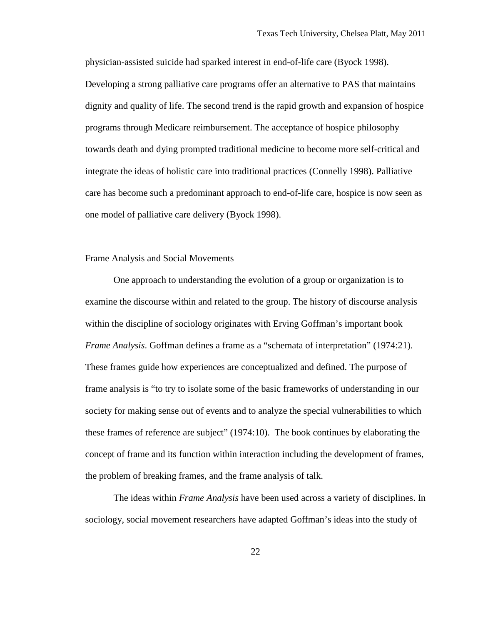physician-assisted suicide had sparked interest in end-of-life care (Byock 1998). Developing a strong palliative care programs offer an alternative to PAS that maintains dignity and quality of life. The second trend is the rapid growth and expansion of hospice programs through Medicare reimbursement. The acceptance of hospice philosophy towards death and dying prompted traditional medicine to become more self-critical and integrate the ideas of holistic care into traditional practices (Connelly 1998). Palliative care has become such a predominant approach to end-of-life care, hospice is now seen as one model of palliative care delivery (Byock 1998).

# Frame Analysis and Social Movements

One approach to understanding the evolution of a group or organization is to examine the discourse within and related to the group. The history of discourse analysis within the discipline of sociology originates with Erving Goffman's important book *Frame Analysis*. Goffman defines a frame as a "schemata of interpretation" (1974:21). These frames guide how experiences are conceptualized and defined. The purpose of frame analysis is "to try to isolate some of the basic frameworks of understanding in our society for making sense out of events and to analyze the special vulnerabilities to which these frames of reference are subject" (1974:10). The book continues by elaborating the concept of frame and its function within interaction including the development of frames, the problem of breaking frames, and the frame analysis of talk.

The ideas within *Frame Analysis* have been used across a variety of disciplines. In sociology, social movement researchers have adapted Goffman's ideas into the study of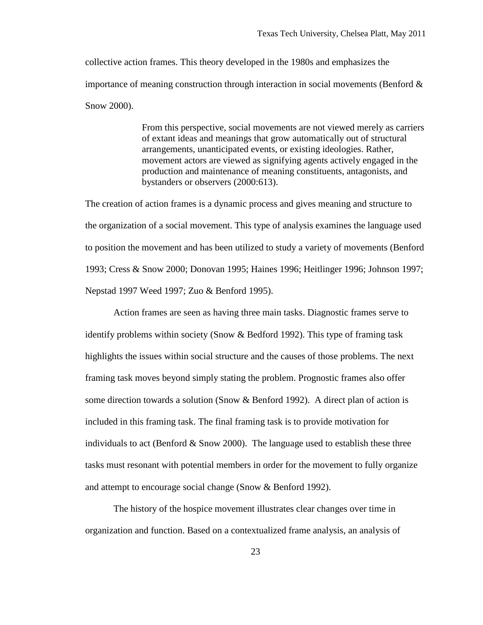collective action frames. This theory developed in the 1980s and emphasizes the importance of meaning construction through interaction in social movements (Benford  $\&$ Snow 2000).

> From this perspective, social movements are not viewed merely as carriers of extant ideas and meanings that grow automatically out of structural arrangements, unanticipated events, or existing ideologies. Rather, movement actors are viewed as signifying agents actively engaged in the production and maintenance of meaning constituents, antagonists, and bystanders or observers (2000:613).

The creation of action frames is a dynamic process and gives meaning and structure to the organization of a social movement. This type of analysis examines the language used to position the movement and has been utilized to study a variety of movements (Benford 1993; Cress & Snow 2000; Donovan 1995; Haines 1996; Heitlinger 1996; Johnson 1997; Nepstad 1997 Weed 1997; Zuo & Benford 1995).

Action frames are seen as having three main tasks. Diagnostic frames serve to identify problems within society (Snow & Bedford 1992). This type of framing task highlights the issues within social structure and the causes of those problems. The next framing task moves beyond simply stating the problem. Prognostic frames also offer some direction towards a solution (Snow & Benford 1992). A direct plan of action is included in this framing task. The final framing task is to provide motivation for individuals to act (Benford  $&$  Snow 2000). The language used to establish these three tasks must resonant with potential members in order for the movement to fully organize and attempt to encourage social change (Snow & Benford 1992).

The history of the hospice movement illustrates clear changes over time in organization and function. Based on a contextualized frame analysis, an analysis of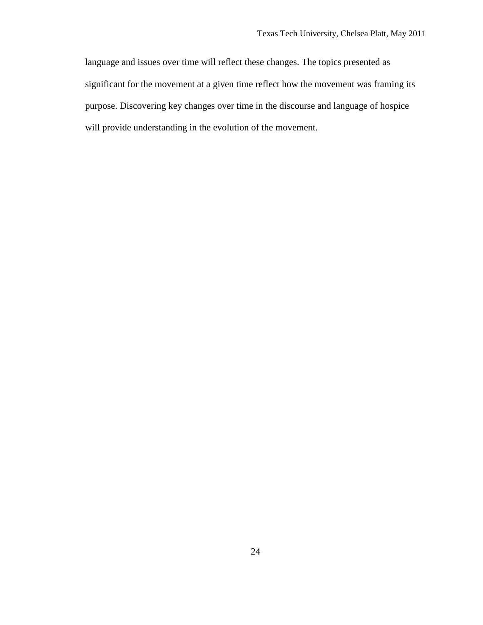language and issues over time will reflect these changes. The topics presented as significant for the movement at a given time reflect how the movement was framing its purpose. Discovering key changes over time in the discourse and language of hospice will provide understanding in the evolution of the movement.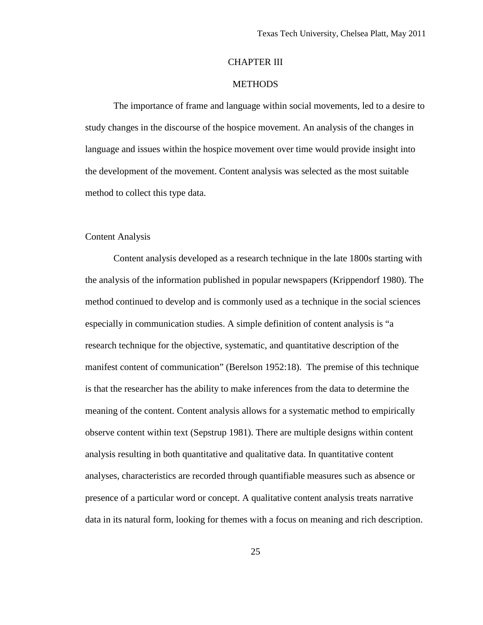# CHAPTER III

# **METHODS**

The importance of frame and language within social movements, led to a desire to study changes in the discourse of the hospice movement. An analysis of the changes in language and issues within the hospice movement over time would provide insight into the development of the movement. Content analysis was selected as the most suitable method to collect this type data.

#### Content Analysis

Content analysis developed as a research technique in the late 1800s starting with the analysis of the information published in popular newspapers (Krippendorf 1980). The method continued to develop and is commonly used as a technique in the social sciences especially in communication studies. A simple definition of content analysis is "a research technique for the objective, systematic, and quantitative description of the manifest content of communication" (Berelson 1952:18). The premise of this technique is that the researcher has the ability to make inferences from the data to determine the meaning of the content. Content analysis allows for a systematic method to empirically observe content within text (Sepstrup 1981). There are multiple designs within content analysis resulting in both quantitative and qualitative data. In quantitative content analyses, characteristics are recorded through quantifiable measures such as absence or presence of a particular word or concept. A qualitative content analysis treats narrative data in its natural form, looking for themes with a focus on meaning and rich description.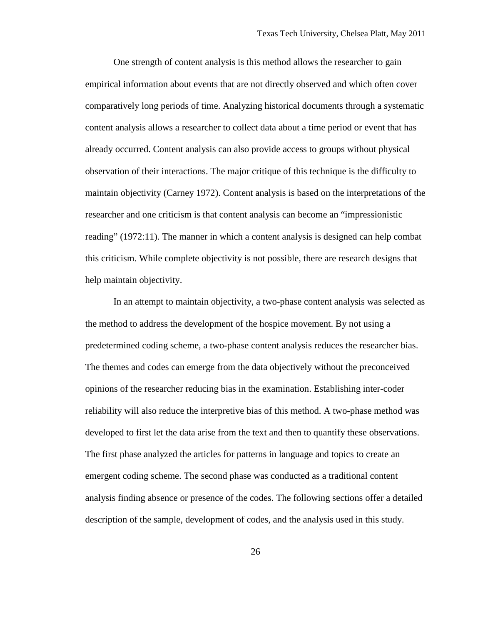One strength of content analysis is this method allows the researcher to gain empirical information about events that are not directly observed and which often cover comparatively long periods of time. Analyzing historical documents through a systematic content analysis allows a researcher to collect data about a time period or event that has already occurred. Content analysis can also provide access to groups without physical observation of their interactions. The major critique of this technique is the difficulty to maintain objectivity (Carney 1972). Content analysis is based on the interpretations of the researcher and one criticism is that content analysis can become an "impressionistic reading" (1972:11). The manner in which a content analysis is designed can help combat this criticism. While complete objectivity is not possible, there are research designs that help maintain objectivity.

In an attempt to maintain objectivity, a two-phase content analysis was selected as the method to address the development of the hospice movement. By not using a predetermined coding scheme, a two-phase content analysis reduces the researcher bias. The themes and codes can emerge from the data objectively without the preconceived opinions of the researcher reducing bias in the examination. Establishing inter-coder reliability will also reduce the interpretive bias of this method. A two-phase method was developed to first let the data arise from the text and then to quantify these observations. The first phase analyzed the articles for patterns in language and topics to create an emergent coding scheme. The second phase was conducted as a traditional content analysis finding absence or presence of the codes. The following sections offer a detailed description of the sample, development of codes, and the analysis used in this study.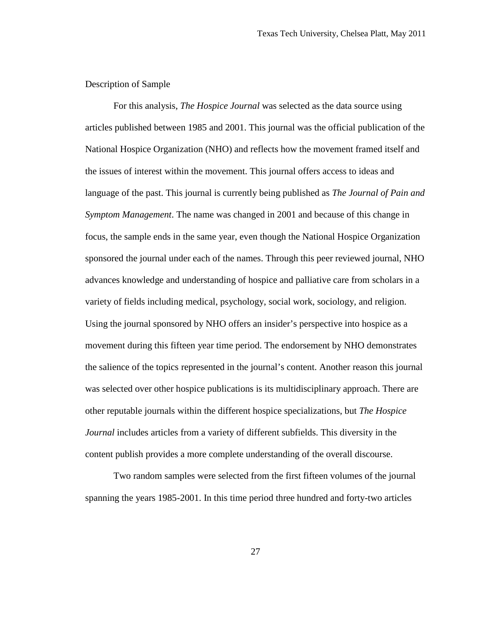# Description of Sample

For this analysis, *The Hospice Journal* was selected as the data source using articles published between 1985 and 2001. This journal was the official publication of the National Hospice Organization (NHO) and reflects how the movement framed itself and the issues of interest within the movement. This journal offers access to ideas and language of the past. This journal is currently being published as *The Journal of Pain and Symptom Management*. The name was changed in 2001 and because of this change in focus, the sample ends in the same year, even though the National Hospice Organization sponsored the journal under each of the names. Through this peer reviewed journal, NHO advances knowledge and understanding of hospice and palliative care from scholars in a variety of fields including medical, psychology, social work, sociology, and religion. Using the journal sponsored by NHO offers an insider's perspective into hospice as a movement during this fifteen year time period. The endorsement by NHO demonstrates the salience of the topics represented in the journal's content. Another reason this journal was selected over other hospice publications is its multidisciplinary approach. There are other reputable journals within the different hospice specializations, but *The Hospice Journal* includes articles from a variety of different subfields. This diversity in the content publish provides a more complete understanding of the overall discourse.

Two random samples were selected from the first fifteen volumes of the journal spanning the years 1985-2001. In this time period three hundred and forty-two articles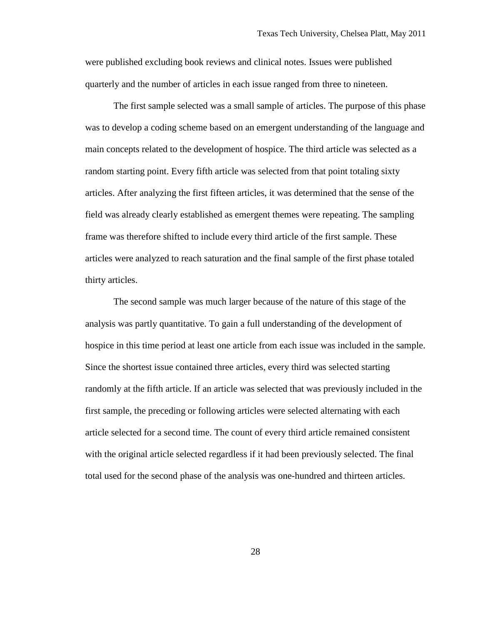were published excluding book reviews and clinical notes. Issues were published quarterly and the number of articles in each issue ranged from three to nineteen.

The first sample selected was a small sample of articles. The purpose of this phase was to develop a coding scheme based on an emergent understanding of the language and main concepts related to the development of hospice. The third article was selected as a random starting point. Every fifth article was selected from that point totaling sixty articles. After analyzing the first fifteen articles, it was determined that the sense of the field was already clearly established as emergent themes were repeating. The sampling frame was therefore shifted to include every third article of the first sample. These articles were analyzed to reach saturation and the final sample of the first phase totaled thirty articles.

The second sample was much larger because of the nature of this stage of the analysis was partly quantitative. To gain a full understanding of the development of hospice in this time period at least one article from each issue was included in the sample. Since the shortest issue contained three articles, every third was selected starting randomly at the fifth article. If an article was selected that was previously included in the first sample, the preceding or following articles were selected alternating with each article selected for a second time. The count of every third article remained consistent with the original article selected regardless if it had been previously selected. The final total used for the second phase of the analysis was one-hundred and thirteen articles.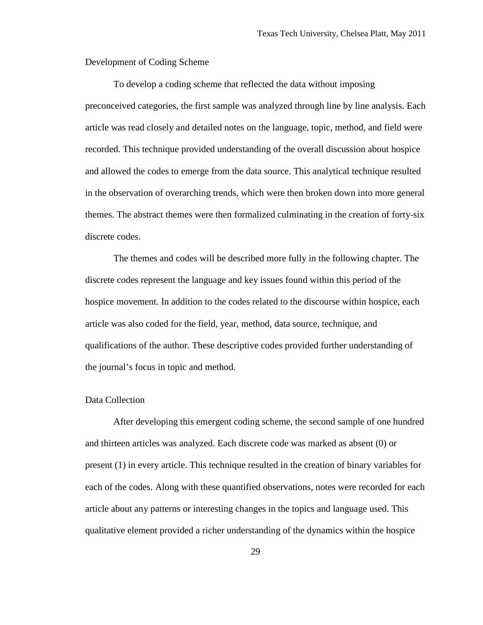Development of Coding Scheme

To develop a coding scheme that reflected the data without imposing preconceived categories, the first sample was analyzed through line by line analysis. Each article was read closely and detailed notes on the language, topic, method, and field were recorded. This technique provided understanding of the overall discussion about hospice and allowed the codes to emerge from the data source. This analytical technique resulted in the observation of overarching trends, which were then broken down into more general themes. The abstract themes were then formalized culminating in the creation of forty-six discrete codes.

The themes and codes will be described more fully in the following chapter. The discrete codes represent the language and key issues found within this period of the hospice movement. In addition to the codes related to the discourse within hospice, each article was also coded for the field, year, method, data source, technique, and qualifications of the author. These descriptive codes provided further understanding of the journal's focus in topic and method.

#### Data Collection

After developing this emergent coding scheme, the second sample of one hundred and thirteen articles was analyzed. Each discrete code was marked as absent (0) or present (1) in every article. This technique resulted in the creation of binary variables for each of the codes. Along with these quantified observations, notes were recorded for each article about any patterns or interesting changes in the topics and language used. This qualitative element provided a richer understanding of the dynamics within the hospice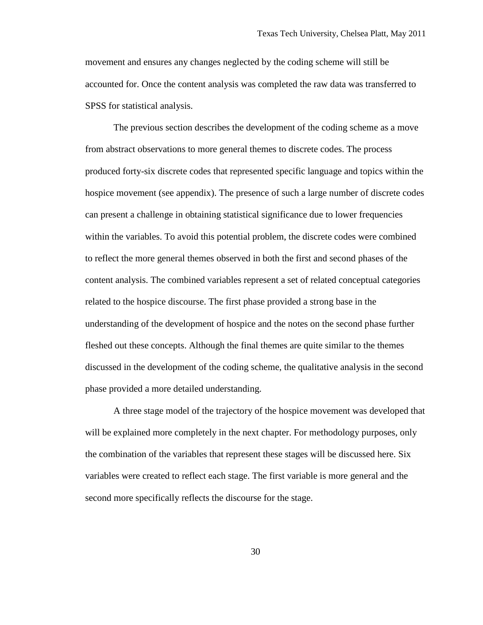movement and ensures any changes neglected by the coding scheme will still be accounted for. Once the content analysis was completed the raw data was transferred to SPSS for statistical analysis.

The previous section describes the development of the coding scheme as a move from abstract observations to more general themes to discrete codes. The process produced forty-six discrete codes that represented specific language and topics within the hospice movement (see appendix). The presence of such a large number of discrete codes can present a challenge in obtaining statistical significance due to lower frequencies within the variables. To avoid this potential problem, the discrete codes were combined to reflect the more general themes observed in both the first and second phases of the content analysis. The combined variables represent a set of related conceptual categories related to the hospice discourse. The first phase provided a strong base in the understanding of the development of hospice and the notes on the second phase further fleshed out these concepts. Although the final themes are quite similar to the themes discussed in the development of the coding scheme, the qualitative analysis in the second phase provided a more detailed understanding.

A three stage model of the trajectory of the hospice movement was developed that will be explained more completely in the next chapter. For methodology purposes, only the combination of the variables that represent these stages will be discussed here. Six variables were created to reflect each stage. The first variable is more general and the second more specifically reflects the discourse for the stage.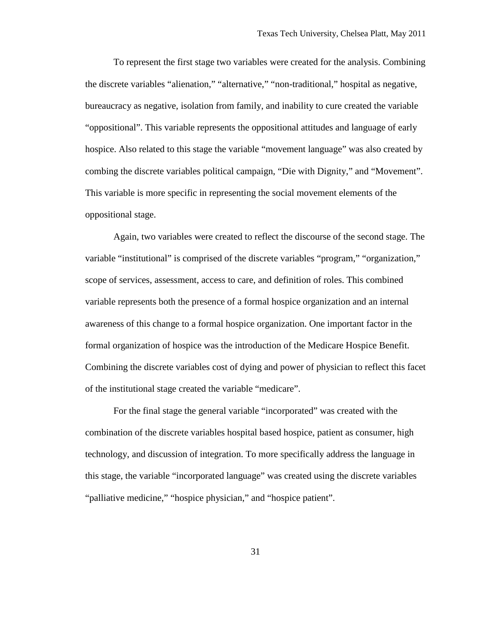To represent the first stage two variables were created for the analysis. Combining the discrete variables "alienation," "alternative," "non-traditional," hospital as negative, bureaucracy as negative, isolation from family, and inability to cure created the variable "oppositional". This variable represents the oppositional attitudes and language of early hospice. Also related to this stage the variable "movement language" was also created by combing the discrete variables political campaign, "Die with Dignity," and "Movement". This variable is more specific in representing the social movement elements of the oppositional stage.

Again, two variables were created to reflect the discourse of the second stage. The variable "institutional" is comprised of the discrete variables "program," "organization," scope of services, assessment, access to care, and definition of roles. This combined variable represents both the presence of a formal hospice organization and an internal awareness of this change to a formal hospice organization. One important factor in the formal organization of hospice was the introduction of the Medicare Hospice Benefit. Combining the discrete variables cost of dying and power of physician to reflect this facet of the institutional stage created the variable "medicare".

For the final stage the general variable "incorporated" was created with the combination of the discrete variables hospital based hospice, patient as consumer, high technology, and discussion of integration. To more specifically address the language in this stage, the variable "incorporated language" was created using the discrete variables "palliative medicine," "hospice physician," and "hospice patient".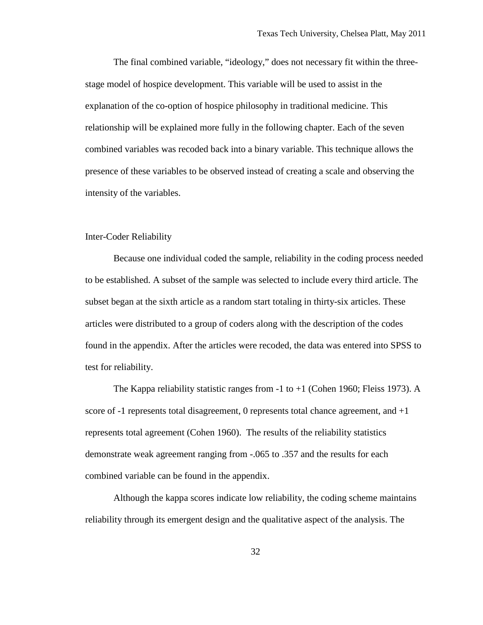The final combined variable, "ideology," does not necessary fit within the threestage model of hospice development. This variable will be used to assist in the explanation of the co-option of hospice philosophy in traditional medicine. This relationship will be explained more fully in the following chapter. Each of the seven combined variables was recoded back into a binary variable. This technique allows the presence of these variables to be observed instead of creating a scale and observing the intensity of the variables.

## Inter-Coder Reliability

Because one individual coded the sample, reliability in the coding process needed to be established. A subset of the sample was selected to include every third article. The subset began at the sixth article as a random start totaling in thirty-six articles. These articles were distributed to a group of coders along with the description of the codes found in the appendix. After the articles were recoded, the data was entered into SPSS to test for reliability.

The Kappa reliability statistic ranges from  $-1$  to  $+1$  (Cohen 1960; Fleiss 1973). A score of -1 represents total disagreement, 0 represents total chance agreement, and  $+1$ represents total agreement (Cohen 1960). The results of the reliability statistics demonstrate weak agreement ranging from -.065 to .357 and the results for each combined variable can be found in the appendix.

Although the kappa scores indicate low reliability, the coding scheme maintains reliability through its emergent design and the qualitative aspect of the analysis. The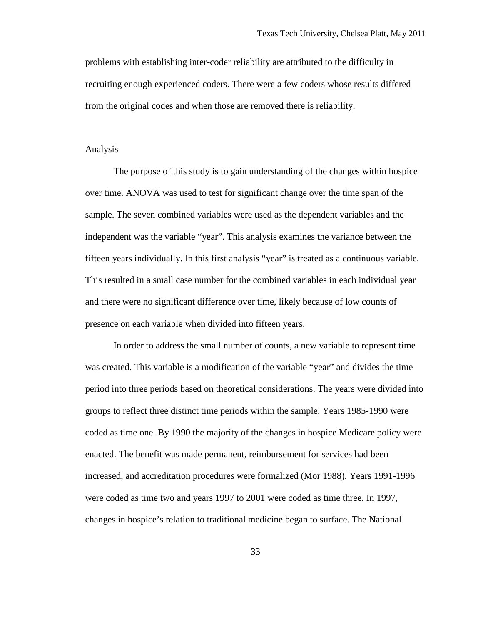problems with establishing inter-coder reliability are attributed to the difficulty in recruiting enough experienced coders. There were a few coders whose results differed from the original codes and when those are removed there is reliability.

#### Analysis

The purpose of this study is to gain understanding of the changes within hospice over time. ANOVA was used to test for significant change over the time span of the sample. The seven combined variables were used as the dependent variables and the independent was the variable "year". This analysis examines the variance between the fifteen years individually. In this first analysis "year" is treated as a continuous variable. This resulted in a small case number for the combined variables in each individual year and there were no significant difference over time, likely because of low counts of presence on each variable when divided into fifteen years.

In order to address the small number of counts, a new variable to represent time was created. This variable is a modification of the variable "year" and divides the time period into three periods based on theoretical considerations. The years were divided into groups to reflect three distinct time periods within the sample. Years 1985-1990 were coded as time one. By 1990 the majority of the changes in hospice Medicare policy were enacted. The benefit was made permanent, reimbursement for services had been increased, and accreditation procedures were formalized (Mor 1988). Years 1991-1996 were coded as time two and years 1997 to 2001 were coded as time three. In 1997, changes in hospice's relation to traditional medicine began to surface. The National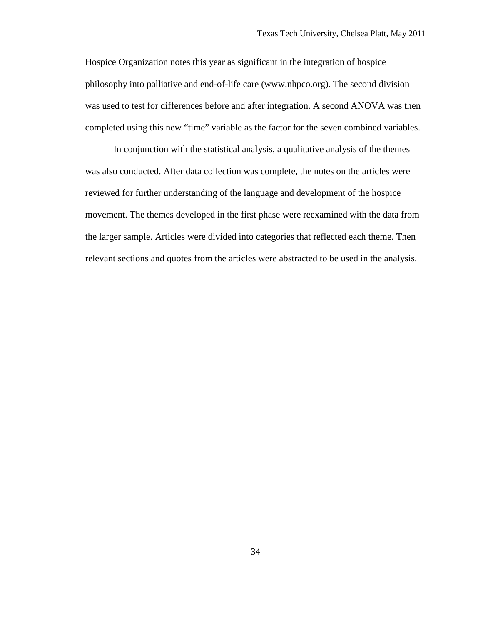Hospice Organization notes this year as significant in the integration of hospice philosophy into palliative and end-of-life care (www.nhpco.org). The second division was used to test for differences before and after integration. A second ANOVA was then completed using this new "time" variable as the factor for the seven combined variables.

In conjunction with the statistical analysis, a qualitative analysis of the themes was also conducted. After data collection was complete, the notes on the articles were reviewed for further understanding of the language and development of the hospice movement. The themes developed in the first phase were reexamined with the data from the larger sample. Articles were divided into categories that reflected each theme. Then relevant sections and quotes from the articles were abstracted to be used in the analysis.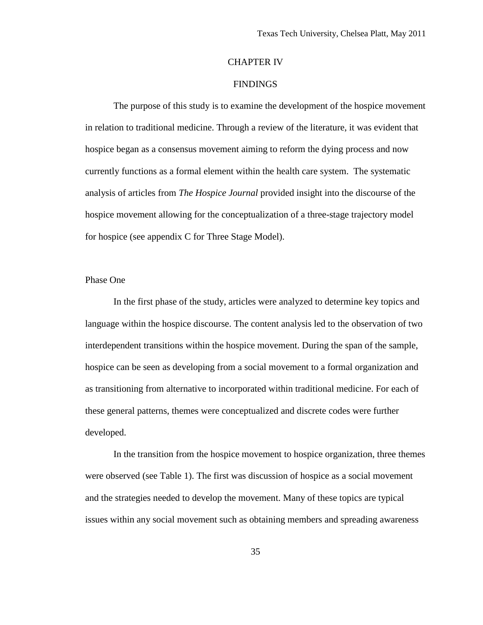# CHAPTER IV

### FINDINGS

The purpose of this study is to examine the development of the hospice movement in relation to traditional medicine. Through a review of the literature, it was evident that hospice began as a consensus movement aiming to reform the dying process and now currently functions as a formal element within the health care system. The systematic analysis of articles from *The Hospice Journal* provided insight into the discourse of the hospice movement allowing for the conceptualization of a three-stage trajectory model for hospice (see appendix C for Three Stage Model).

#### Phase One

In the first phase of the study, articles were analyzed to determine key topics and language within the hospice discourse. The content analysis led to the observation of two interdependent transitions within the hospice movement. During the span of the sample, hospice can be seen as developing from a social movement to a formal organization and as transitioning from alternative to incorporated within traditional medicine. For each of these general patterns, themes were conceptualized and discrete codes were further developed.

In the transition from the hospice movement to hospice organization, three themes were observed (see Table 1). The first was discussion of hospice as a social movement and the strategies needed to develop the movement. Many of these topics are typical issues within any social movement such as obtaining members and spreading awareness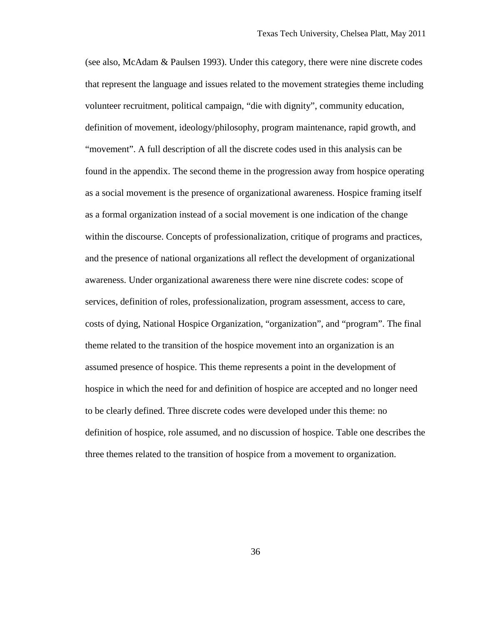(see also, McAdam & Paulsen 1993). Under this category, there were nine discrete codes that represent the language and issues related to the movement strategies theme including volunteer recruitment, political campaign, "die with dignity", community education, definition of movement, ideology/philosophy, program maintenance, rapid growth, and "movement". A full description of all the discrete codes used in this analysis can be found in the appendix. The second theme in the progression away from hospice operating as a social movement is the presence of organizational awareness. Hospice framing itself as a formal organization instead of a social movement is one indication of the change within the discourse. Concepts of professionalization, critique of programs and practices, and the presence of national organizations all reflect the development of organizational awareness. Under organizational awareness there were nine discrete codes: scope of services, definition of roles, professionalization, program assessment, access to care, costs of dying, National Hospice Organization, "organization", and "program". The final theme related to the transition of the hospice movement into an organization is an assumed presence of hospice. This theme represents a point in the development of hospice in which the need for and definition of hospice are accepted and no longer need to be clearly defined. Three discrete codes were developed under this theme: no definition of hospice, role assumed, and no discussion of hospice. Table one describes the three themes related to the transition of hospice from a movement to organization.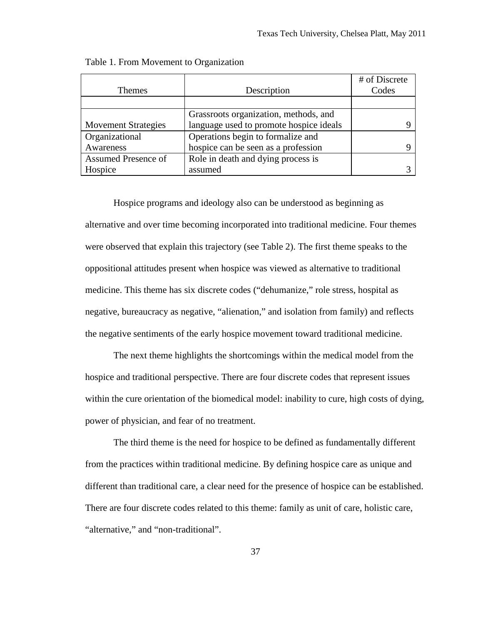|                            |                                         | # of Discrete |
|----------------------------|-----------------------------------------|---------------|
| <b>Themes</b>              | Description                             | Codes         |
|                            |                                         |               |
|                            | Grassroots organization, methods, and   |               |
| <b>Movement Strategies</b> | language used to promote hospice ideals |               |
| Organizational             | Operations begin to formalize and       |               |
| Awareness                  | hospice can be seen as a profession     |               |
| Assumed Presence of        | Role in death and dying process is      |               |
| Hospice                    | assumed                                 |               |

Table 1. From Movement to Organization

Hospice programs and ideology also can be understood as beginning as alternative and over time becoming incorporated into traditional medicine. Four themes were observed that explain this trajectory (see Table 2). The first theme speaks to the oppositional attitudes present when hospice was viewed as alternative to traditional medicine. This theme has six discrete codes ("dehumanize," role stress, hospital as negative, bureaucracy as negative, "alienation," and isolation from family) and reflects the negative sentiments of the early hospice movement toward traditional medicine.

The next theme highlights the shortcomings within the medical model from the hospice and traditional perspective. There are four discrete codes that represent issues within the cure orientation of the biomedical model: inability to cure, high costs of dying, power of physician, and fear of no treatment.

The third theme is the need for hospice to be defined as fundamentally different from the practices within traditional medicine. By defining hospice care as unique and different than traditional care, a clear need for the presence of hospice can be established. There are four discrete codes related to this theme: family as unit of care, holistic care, "alternative," and "non-traditional".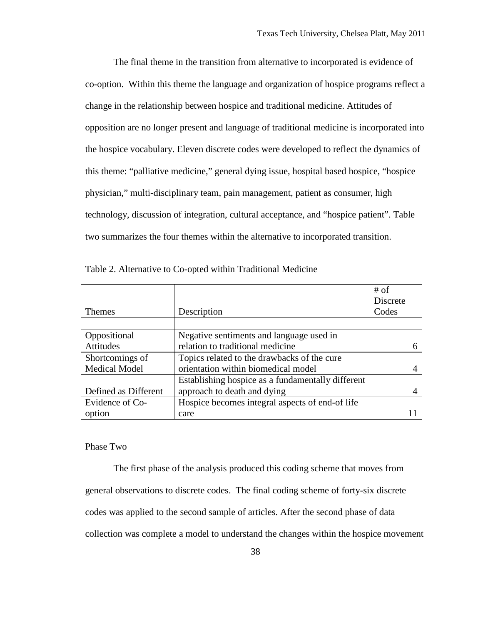The final theme in the transition from alternative to incorporated is evidence of co-option. Within this theme the language and organization of hospice programs reflect a change in the relationship between hospice and traditional medicine. Attitudes of opposition are no longer present and language of traditional medicine is incorporated into the hospice vocabulary. Eleven discrete codes were developed to reflect the dynamics of this theme: "palliative medicine," general dying issue, hospital based hospice, "hospice physician," multi-disciplinary team, pain management, patient as consumer, high technology, discussion of integration, cultural acceptance, and "hospice patient". Table two summarizes the four themes within the alternative to incorporated transition.

|                      |                                                   | $#$ of          |
|----------------------|---------------------------------------------------|-----------------|
|                      |                                                   | <b>Discrete</b> |
| <b>Themes</b>        | Description                                       | Codes           |
|                      |                                                   |                 |
| Oppositional         | Negative sentiments and language used in          |                 |
| Attitudes            | relation to traditional medicine                  |                 |
| Shortcomings of      | Topics related to the drawbacks of the cure       |                 |
| <b>Medical Model</b> | orientation within biomedical model               |                 |
|                      | Establishing hospice as a fundamentally different |                 |
| Defined as Different | approach to death and dying                       |                 |
| Evidence of Co-      | Hospice becomes integral aspects of end-of life   |                 |
| option               | care                                              |                 |

Table 2. Alternative to Co-opted within Traditional Medicine

#### Phase Two

The first phase of the analysis produced this coding scheme that moves from general observations to discrete codes. The final coding scheme of forty-six discrete codes was applied to the second sample of articles. After the second phase of data collection was complete a model to understand the changes within the hospice movement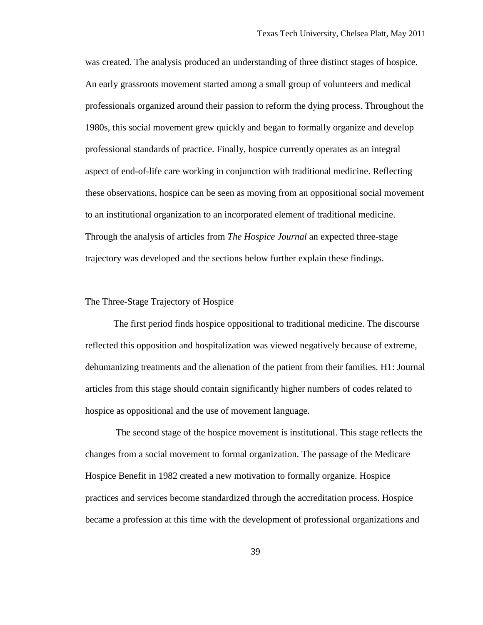was created. The analysis produced an understanding of three distinct stages of hospice. An early grassroots movement started among a small group of volunteers and medical professionals organized around their passion to reform the dying process. Throughout the 1980s, this social movement grew quickly and began to formally organize and develop professional standards of practice. Finally, hospice currently operates as an integral aspect of end-of-life care working in conjunction with traditional medicine. Reflecting these observations, hospice can be seen as moving from an oppositional social movement to an institutional organization to an incorporated element of traditional medicine. Through the analysis of articles from *The Hospice Journal* an expected three-stage trajectory was developed and the sections below further explain these findings.

#### The Three-Stage Trajectory of Hospice

The first period finds hospice oppositional to traditional medicine. The discourse reflected this opposition and hospitalization was viewed negatively because of extreme, dehumanizing treatments and the alienation of the patient from their families. H1: Journal articles from this stage should contain significantly higher numbers of codes related to hospice as oppositional and the use of movement language.

The second stage of the hospice movement is institutional. This stage reflects the changes from a social movement to formal organization. The passage of the Medicare Hospice Benefit in 1982 created a new motivation to formally organize. Hospice practices and services become standardized through the accreditation process. Hospice became a profession at this time with the development of professional organizations and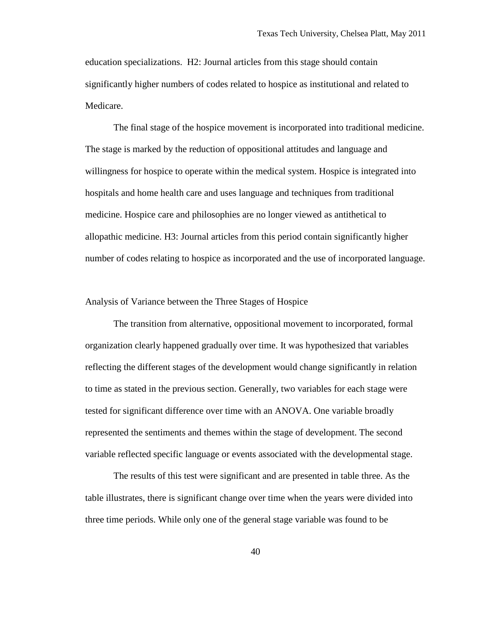education specializations. H2: Journal articles from this stage should contain significantly higher numbers of codes related to hospice as institutional and related to Medicare.

The final stage of the hospice movement is incorporated into traditional medicine. The stage is marked by the reduction of oppositional attitudes and language and willingness for hospice to operate within the medical system. Hospice is integrated into hospitals and home health care and uses language and techniques from traditional medicine. Hospice care and philosophies are no longer viewed as antithetical to allopathic medicine. H3: Journal articles from this period contain significantly higher number of codes relating to hospice as incorporated and the use of incorporated language.

#### Analysis of Variance between the Three Stages of Hospice

The transition from alternative, oppositional movement to incorporated, formal organization clearly happened gradually over time. It was hypothesized that variables reflecting the different stages of the development would change significantly in relation to time as stated in the previous section. Generally, two variables for each stage were tested for significant difference over time with an ANOVA. One variable broadly represented the sentiments and themes within the stage of development. The second variable reflected specific language or events associated with the developmental stage.

The results of this test were significant and are presented in table three. As the table illustrates, there is significant change over time when the years were divided into three time periods. While only one of the general stage variable was found to be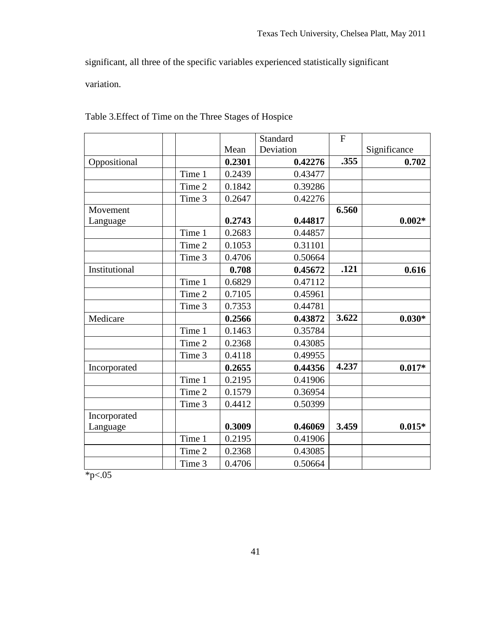significant, all three of the specific variables experienced statistically significant

variation.

|               |        |        | Standard  | $\overline{F}$ |              |
|---------------|--------|--------|-----------|----------------|--------------|
|               |        | Mean   | Deviation |                | Significance |
| Oppositional  |        | 0.2301 | 0.42276   | .355           | 0.702        |
|               | Time 1 | 0.2439 | 0.43477   |                |              |
|               | Time 2 | 0.1842 | 0.39286   |                |              |
|               | Time 3 | 0.2647 | 0.42276   |                |              |
| Movement      |        |        |           | 6.560          |              |
| Language      |        | 0.2743 | 0.44817   |                | $0.002*$     |
|               | Time 1 | 0.2683 | 0.44857   |                |              |
|               | Time 2 | 0.1053 | 0.31101   |                |              |
|               | Time 3 | 0.4706 | 0.50664   |                |              |
| Institutional |        | 0.708  | 0.45672   | .121           | 0.616        |
|               | Time 1 | 0.6829 | 0.47112   |                |              |
|               | Time 2 | 0.7105 | 0.45961   |                |              |
|               | Time 3 | 0.7353 | 0.44781   |                |              |
| Medicare      |        | 0.2566 | 0.43872   | 3.622          | $0.030*$     |
|               | Time 1 | 0.1463 | 0.35784   |                |              |
|               | Time 2 | 0.2368 | 0.43085   |                |              |
|               | Time 3 | 0.4118 | 0.49955   |                |              |
| Incorporated  |        | 0.2655 | 0.44356   | 4.237          | $0.017*$     |
|               | Time 1 | 0.2195 | 0.41906   |                |              |
|               | Time 2 | 0.1579 | 0.36954   |                |              |
|               | Time 3 | 0.4412 | 0.50399   |                |              |
| Incorporated  |        |        |           |                |              |
| Language      |        | 0.3009 | 0.46069   | 3.459          | $0.015*$     |
|               | Time 1 | 0.2195 | 0.41906   |                |              |
|               | Time 2 | 0.2368 | 0.43085   |                |              |
|               | Time 3 | 0.4706 | 0.50664   |                |              |

Table 3.Effect of Time on the Three Stages of Hospice

 $*_{p<.05}$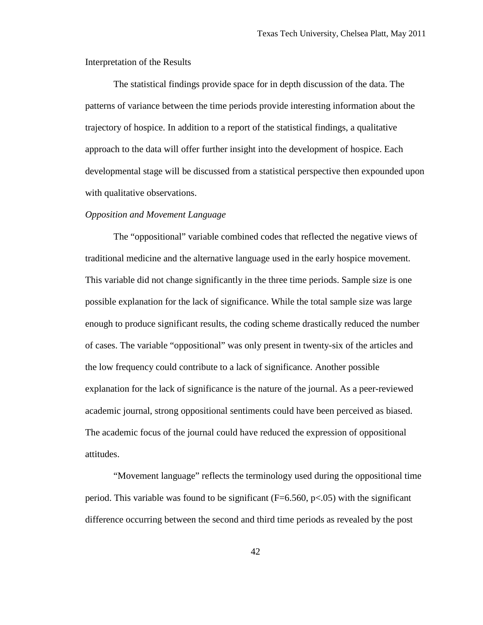Interpretation of the Results

The statistical findings provide space for in depth discussion of the data. The patterns of variance between the time periods provide interesting information about the trajectory of hospice. In addition to a report of the statistical findings, a qualitative approach to the data will offer further insight into the development of hospice. Each developmental stage will be discussed from a statistical perspective then expounded upon with qualitative observations.

## *Opposition and Movement Language*

The "oppositional" variable combined codes that reflected the negative views of traditional medicine and the alternative language used in the early hospice movement. This variable did not change significantly in the three time periods. Sample size is one possible explanation for the lack of significance. While the total sample size was large enough to produce significant results, the coding scheme drastically reduced the number of cases. The variable "oppositional" was only present in twenty-six of the articles and the low frequency could contribute to a lack of significance. Another possible explanation for the lack of significance is the nature of the journal. As a peer-reviewed academic journal, strong oppositional sentiments could have been perceived as biased. The academic focus of the journal could have reduced the expression of oppositional attitudes.

"Movement language" reflects the terminology used during the oppositional time period. This variable was found to be significant ( $F=6.560$ ,  $p<.05$ ) with the significant difference occurring between the second and third time periods as revealed by the post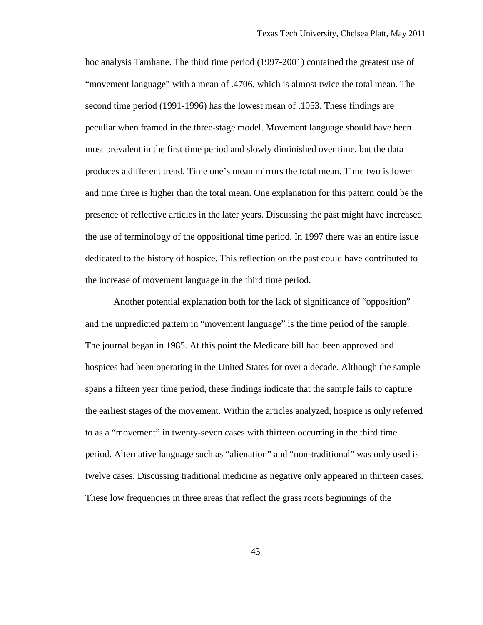hoc analysis Tamhane. The third time period (1997-2001) contained the greatest use of "movement language" with a mean of .4706, which is almost twice the total mean. The second time period (1991-1996) has the lowest mean of .1053. These findings are peculiar when framed in the three-stage model. Movement language should have been most prevalent in the first time period and slowly diminished over time, but the data produces a different trend. Time one's mean mirrors the total mean. Time two is lower and time three is higher than the total mean. One explanation for this pattern could be the presence of reflective articles in the later years. Discussing the past might have increased the use of terminology of the oppositional time period. In 1997 there was an entire issue dedicated to the history of hospice. This reflection on the past could have contributed to the increase of movement language in the third time period.

Another potential explanation both for the lack of significance of "opposition" and the unpredicted pattern in "movement language" is the time period of the sample. The journal began in 1985. At this point the Medicare bill had been approved and hospices had been operating in the United States for over a decade. Although the sample spans a fifteen year time period, these findings indicate that the sample fails to capture the earliest stages of the movement. Within the articles analyzed, hospice is only referred to as a "movement" in twenty-seven cases with thirteen occurring in the third time period. Alternative language such as "alienation" and "non-traditional" was only used is twelve cases. Discussing traditional medicine as negative only appeared in thirteen cases. These low frequencies in three areas that reflect the grass roots beginnings of the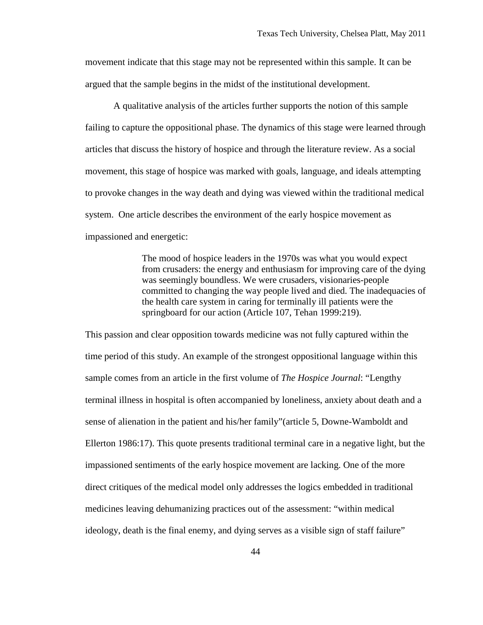movement indicate that this stage may not be represented within this sample. It can be argued that the sample begins in the midst of the institutional development.

A qualitative analysis of the articles further supports the notion of this sample failing to capture the oppositional phase. The dynamics of this stage were learned through articles that discuss the history of hospice and through the literature review. As a social movement, this stage of hospice was marked with goals, language, and ideals attempting to provoke changes in the way death and dying was viewed within the traditional medical system. One article describes the environment of the early hospice movement as impassioned and energetic:

> The mood of hospice leaders in the 1970s was what you would expect from crusaders: the energy and enthusiasm for improving care of the dying was seemingly boundless. We were crusaders, visionaries-people committed to changing the way people lived and died. The inadequacies of the health care system in caring for terminally ill patients were the springboard for our action (Article 107, Tehan 1999:219).

This passion and clear opposition towards medicine was not fully captured within the time period of this study. An example of the strongest oppositional language within this sample comes from an article in the first volume of *The Hospice Journal*: "Lengthy terminal illness in hospital is often accompanied by loneliness, anxiety about death and a sense of alienation in the patient and his/her family"(article 5, Downe-Wamboldt and Ellerton 1986:17). This quote presents traditional terminal care in a negative light, but the impassioned sentiments of the early hospice movement are lacking. One of the more direct critiques of the medical model only addresses the logics embedded in traditional medicines leaving dehumanizing practices out of the assessment: "within medical ideology, death is the final enemy, and dying serves as a visible sign of staff failure"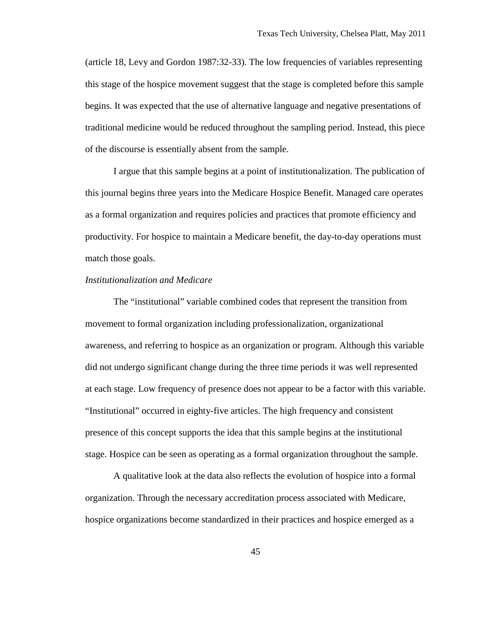(article 18, Levy and Gordon 1987:32-33). The low frequencies of variables representing this stage of the hospice movement suggest that the stage is completed before this sample begins. It was expected that the use of alternative language and negative presentations of traditional medicine would be reduced throughout the sampling period. Instead, this piece of the discourse is essentially absent from the sample.

I argue that this sample begins at a point of institutionalization. The publication of this journal begins three years into the Medicare Hospice Benefit. Managed care operates as a formal organization and requires policies and practices that promote efficiency and productivity. For hospice to maintain a Medicare benefit, the day-to-day operations must match those goals.

### *Institutionalization and Medicare*

The "institutional" variable combined codes that represent the transition from movement to formal organization including professionalization, organizational awareness, and referring to hospice as an organization or program. Although this variable did not undergo significant change during the three time periods it was well represented at each stage. Low frequency of presence does not appear to be a factor with this variable. "Institutional" occurred in eighty-five articles. The high frequency and consistent presence of this concept supports the idea that this sample begins at the institutional stage. Hospice can be seen as operating as a formal organization throughout the sample.

A qualitative look at the data also reflects the evolution of hospice into a formal organization. Through the necessary accreditation process associated with Medicare, hospice organizations become standardized in their practices and hospice emerged as a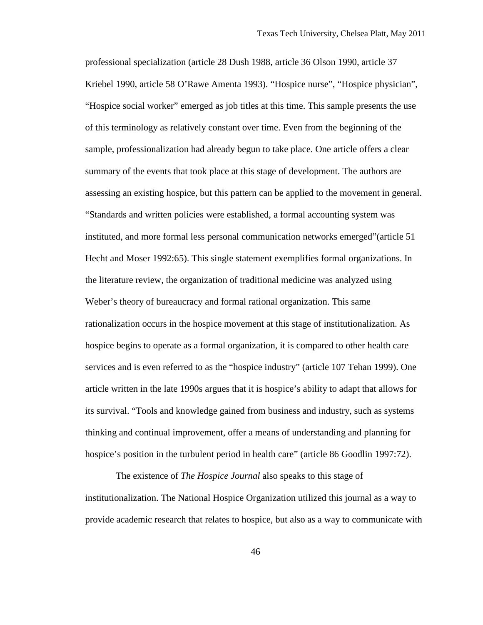professional specialization (article 28 Dush 1988, article 36 Olson 1990, article 37 Kriebel 1990, article 58 O'Rawe Amenta 1993). "Hospice nurse", "Hospice physician", "Hospice social worker" emerged as job titles at this time. This sample presents the use of this terminology as relatively constant over time. Even from the beginning of the sample, professionalization had already begun to take place. One article offers a clear summary of the events that took place at this stage of development. The authors are assessing an existing hospice, but this pattern can be applied to the movement in general. "Standards and written policies were established, a formal accounting system was instituted, and more formal less personal communication networks emerged"(article 51 Hecht and Moser 1992:65). This single statement exemplifies formal organizations. In the literature review, the organization of traditional medicine was analyzed using Weber's theory of bureaucracy and formal rational organization. This same rationalization occurs in the hospice movement at this stage of institutionalization. As hospice begins to operate as a formal organization, it is compared to other health care services and is even referred to as the "hospice industry" (article 107 Tehan 1999). One article written in the late 1990s argues that it is hospice's ability to adapt that allows for its survival. "Tools and knowledge gained from business and industry, such as systems thinking and continual improvement, offer a means of understanding and planning for hospice's position in the turbulent period in health care" (article 86 Goodlin 1997:72).

The existence of *The Hospice Journal* also speaks to this stage of institutionalization. The National Hospice Organization utilized this journal as a way to provide academic research that relates to hospice, but also as a way to communicate with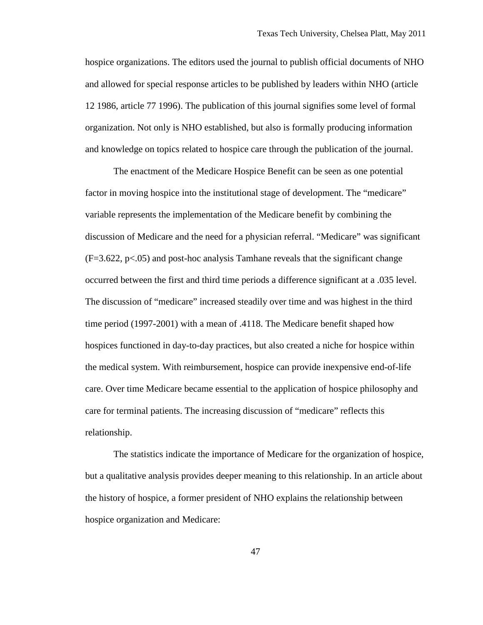hospice organizations. The editors used the journal to publish official documents of NHO and allowed for special response articles to be published by leaders within NHO (article 12 1986, article 77 1996). The publication of this journal signifies some level of formal organization. Not only is NHO established, but also is formally producing information and knowledge on topics related to hospice care through the publication of the journal.

The enactment of the Medicare Hospice Benefit can be seen as one potential factor in moving hospice into the institutional stage of development. The "medicare" variable represents the implementation of the Medicare benefit by combining the discussion of Medicare and the need for a physician referral. "Medicare" was significant  $(F=3.622, p<.05)$  and post-hoc analysis Tamhane reveals that the significant change occurred between the first and third time periods a difference significant at a .035 level. The discussion of "medicare" increased steadily over time and was highest in the third time period (1997-2001) with a mean of .4118. The Medicare benefit shaped how hospices functioned in day-to-day practices, but also created a niche for hospice within the medical system. With reimbursement, hospice can provide inexpensive end-of-life care. Over time Medicare became essential to the application of hospice philosophy and care for terminal patients. The increasing discussion of "medicare" reflects this relationship.

The statistics indicate the importance of Medicare for the organization of hospice, but a qualitative analysis provides deeper meaning to this relationship. In an article about the history of hospice, a former president of NHO explains the relationship between hospice organization and Medicare: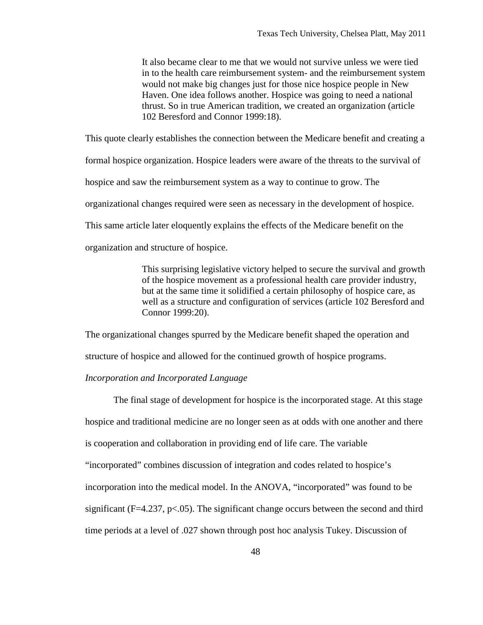It also became clear to me that we would not survive unless we were tied in to the health care reimbursement system- and the reimbursement system would not make big changes just for those nice hospice people in New Haven. One idea follows another. Hospice was going to need a national thrust. So in true American tradition, we created an organization (article 102 Beresford and Connor 1999:18).

This quote clearly establishes the connection between the Medicare benefit and creating a

formal hospice organization. Hospice leaders were aware of the threats to the survival of

hospice and saw the reimbursement system as a way to continue to grow. The

organizational changes required were seen as necessary in the development of hospice.

This same article later eloquently explains the effects of the Medicare benefit on the

organization and structure of hospice.

This surprising legislative victory helped to secure the survival and growth of the hospice movement as a professional health care provider industry, but at the same time it solidified a certain philosophy of hospice care, as well as a structure and configuration of services (article 102 Beresford and Connor 1999:20).

The organizational changes spurred by the Medicare benefit shaped the operation and

structure of hospice and allowed for the continued growth of hospice programs.

### *Incorporation and Incorporated Language*

The final stage of development for hospice is the incorporated stage. At this stage hospice and traditional medicine are no longer seen as at odds with one another and there is cooperation and collaboration in providing end of life care. The variable "incorporated" combines discussion of integration and codes related to hospice's incorporation into the medical model. In the ANOVA, "incorporated" was found to be significant ( $F=4.237$ ,  $p<0.05$ ). The significant change occurs between the second and third time periods at a level of .027 shown through post hoc analysis Tukey. Discussion of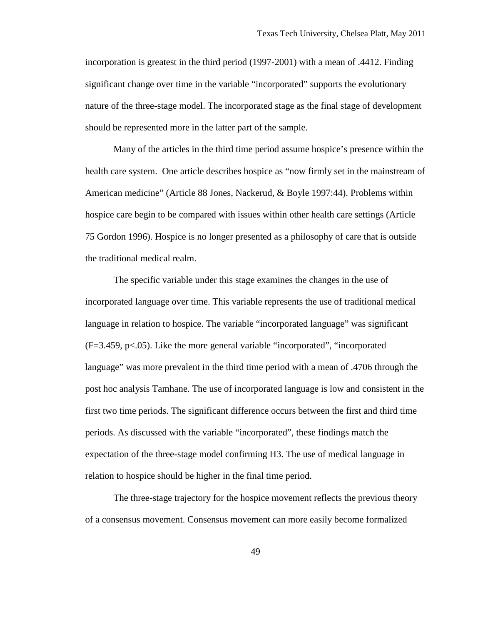incorporation is greatest in the third period (1997-2001) with a mean of .4412. Finding significant change over time in the variable "incorporated" supports the evolutionary nature of the three-stage model. The incorporated stage as the final stage of development should be represented more in the latter part of the sample.

Many of the articles in the third time period assume hospice's presence within the health care system. One article describes hospice as "now firmly set in the mainstream of American medicine" (Article 88 Jones, Nackerud, & Boyle 1997:44). Problems within hospice care begin to be compared with issues within other health care settings (Article 75 Gordon 1996). Hospice is no longer presented as a philosophy of care that is outside the traditional medical realm.

The specific variable under this stage examines the changes in the use of incorporated language over time. This variable represents the use of traditional medical language in relation to hospice. The variable "incorporated language" was significant (F=3.459, p<.05). Like the more general variable "incorporated", "incorporated language" was more prevalent in the third time period with a mean of .4706 through the post hoc analysis Tamhane. The use of incorporated language is low and consistent in the first two time periods. The significant difference occurs between the first and third time periods. As discussed with the variable "incorporated", these findings match the expectation of the three-stage model confirming H3. The use of medical language in relation to hospice should be higher in the final time period.

The three-stage trajectory for the hospice movement reflects the previous theory of a consensus movement. Consensus movement can more easily become formalized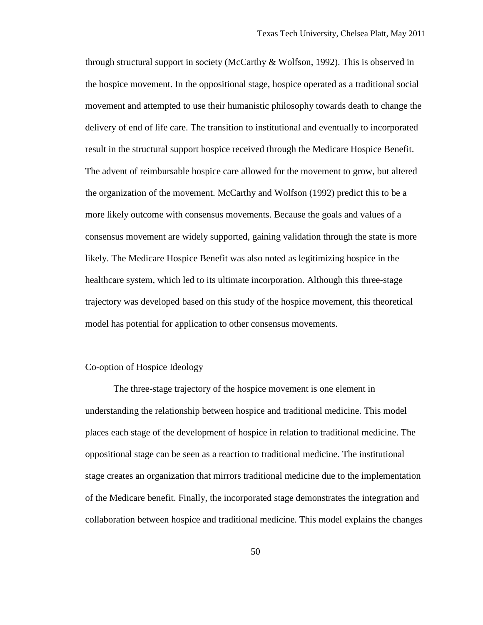through structural support in society (McCarthy & Wolfson, 1992). This is observed in the hospice movement. In the oppositional stage, hospice operated as a traditional social movement and attempted to use their humanistic philosophy towards death to change the delivery of end of life care. The transition to institutional and eventually to incorporated result in the structural support hospice received through the Medicare Hospice Benefit. The advent of reimbursable hospice care allowed for the movement to grow, but altered the organization of the movement. McCarthy and Wolfson (1992) predict this to be a more likely outcome with consensus movements. Because the goals and values of a consensus movement are widely supported, gaining validation through the state is more likely. The Medicare Hospice Benefit was also noted as legitimizing hospice in the healthcare system, which led to its ultimate incorporation. Although this three-stage trajectory was developed based on this study of the hospice movement, this theoretical model has potential for application to other consensus movements.

# Co-option of Hospice Ideology

The three-stage trajectory of the hospice movement is one element in understanding the relationship between hospice and traditional medicine. This model places each stage of the development of hospice in relation to traditional medicine. The oppositional stage can be seen as a reaction to traditional medicine. The institutional stage creates an organization that mirrors traditional medicine due to the implementation of the Medicare benefit. Finally, the incorporated stage demonstrates the integration and collaboration between hospice and traditional medicine. This model explains the changes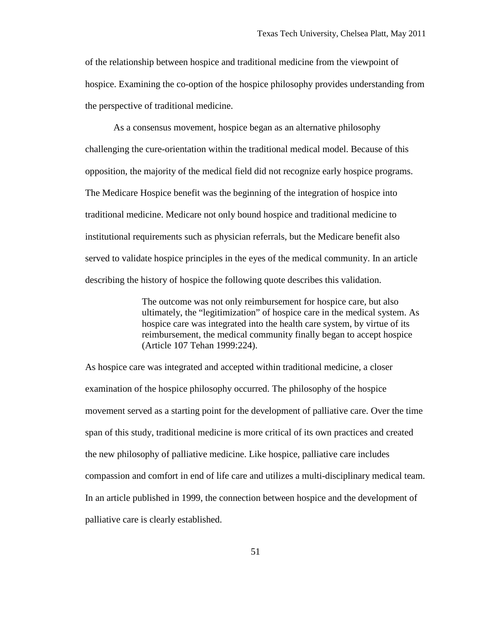of the relationship between hospice and traditional medicine from the viewpoint of hospice. Examining the co-option of the hospice philosophy provides understanding from the perspective of traditional medicine.

As a consensus movement, hospice began as an alternative philosophy challenging the cure-orientation within the traditional medical model. Because of this opposition, the majority of the medical field did not recognize early hospice programs. The Medicare Hospice benefit was the beginning of the integration of hospice into traditional medicine. Medicare not only bound hospice and traditional medicine to institutional requirements such as physician referrals, but the Medicare benefit also served to validate hospice principles in the eyes of the medical community. In an article describing the history of hospice the following quote describes this validation.

> The outcome was not only reimbursement for hospice care, but also ultimately, the "legitimization" of hospice care in the medical system. As hospice care was integrated into the health care system, by virtue of its reimbursement, the medical community finally began to accept hospice (Article 107 Tehan 1999:224).

As hospice care was integrated and accepted within traditional medicine, a closer examination of the hospice philosophy occurred. The philosophy of the hospice movement served as a starting point for the development of palliative care. Over the time span of this study, traditional medicine is more critical of its own practices and created the new philosophy of palliative medicine. Like hospice, palliative care includes compassion and comfort in end of life care and utilizes a multi-disciplinary medical team. In an article published in 1999, the connection between hospice and the development of palliative care is clearly established.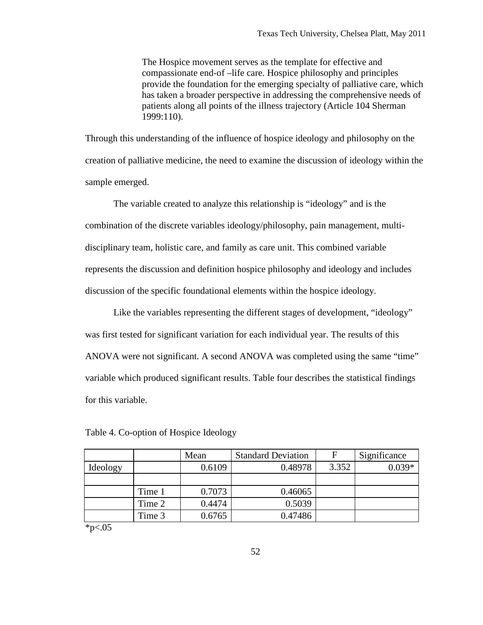The Hospice movement serves as the template for effective and compassionate end-of –life care. Hospice philosophy and principles provide the foundation for the emerging specialty of palliative care, which has taken a broader perspective in addressing the comprehensive needs of patients along all points of the illness trajectory (Article 104 Sherman 1999:110).

Through this understanding of the influence of hospice ideology and philosophy on the creation of palliative medicine, the need to examine the discussion of ideology within the sample emerged.

The variable created to analyze this relationship is "ideology" and is the combination of the discrete variables ideology/philosophy, pain management, multidisciplinary team, holistic care, and family as care unit. This combined variable represents the discussion and definition hospice philosophy and ideology and includes discussion of the specific foundational elements within the hospice ideology.

Like the variables representing the different stages of development, "ideology" was first tested for significant variation for each individual year. The results of this ANOVA were not significant. A second ANOVA was completed using the same "time" variable which produced significant results. Table four describes the statistical findings for this variable.

|          |        | Mean   | <b>Standard Deviation</b> | F     | Significance |
|----------|--------|--------|---------------------------|-------|--------------|
| Ideology |        | 0.6109 | 0.48978                   | 3.352 | $0.039*$     |
|          |        |        |                           |       |              |
|          | Time 1 | 0.7073 | 0.46065                   |       |              |
|          | Time 2 | 0.4474 | 0.5039                    |       |              |
|          | Time 3 | 0.6765 | 0.47486                   |       |              |

Table 4. Co-option of Hospice Ideology

 $*p<.05$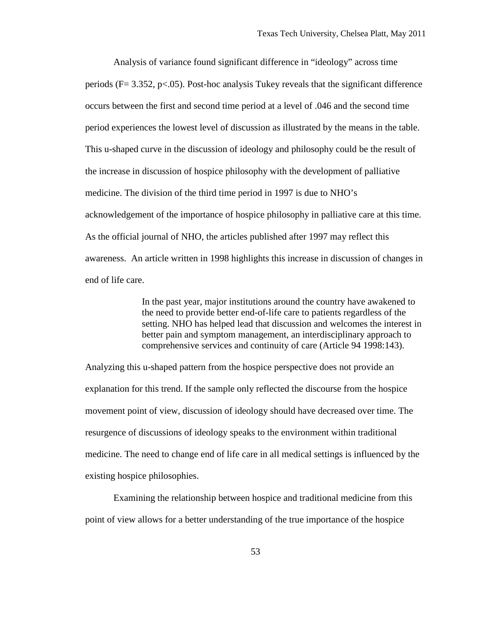Analysis of variance found significant difference in "ideology" across time periods ( $F = 3.352$ ,  $p < .05$ ). Post-hoc analysis Tukey reveals that the significant difference occurs between the first and second time period at a level of .046 and the second time period experiences the lowest level of discussion as illustrated by the means in the table. This u-shaped curve in the discussion of ideology and philosophy could be the result of the increase in discussion of hospice philosophy with the development of palliative medicine. The division of the third time period in 1997 is due to NHO's acknowledgement of the importance of hospice philosophy in palliative care at this time. As the official journal of NHO, the articles published after 1997 may reflect this awareness. An article written in 1998 highlights this increase in discussion of changes in end of life care.

> In the past year, major institutions around the country have awakened to the need to provide better end-of-life care to patients regardless of the setting. NHO has helped lead that discussion and welcomes the interest in better pain and symptom management, an interdisciplinary approach to comprehensive services and continuity of care (Article 94 1998:143).

Analyzing this u-shaped pattern from the hospice perspective does not provide an explanation for this trend. If the sample only reflected the discourse from the hospice movement point of view, discussion of ideology should have decreased over time. The resurgence of discussions of ideology speaks to the environment within traditional medicine. The need to change end of life care in all medical settings is influenced by the existing hospice philosophies.

Examining the relationship between hospice and traditional medicine from this point of view allows for a better understanding of the true importance of the hospice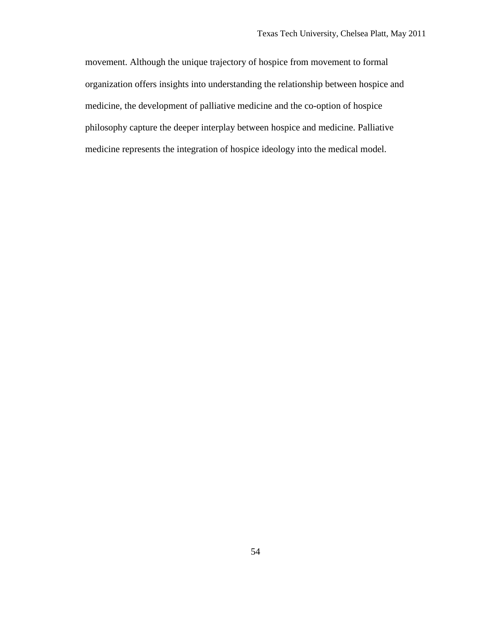movement. Although the unique trajectory of hospice from movement to formal organization offers insights into understanding the relationship between hospice and medicine, the development of palliative medicine and the co-option of hospice philosophy capture the deeper interplay between hospice and medicine. Palliative medicine represents the integration of hospice ideology into the medical model.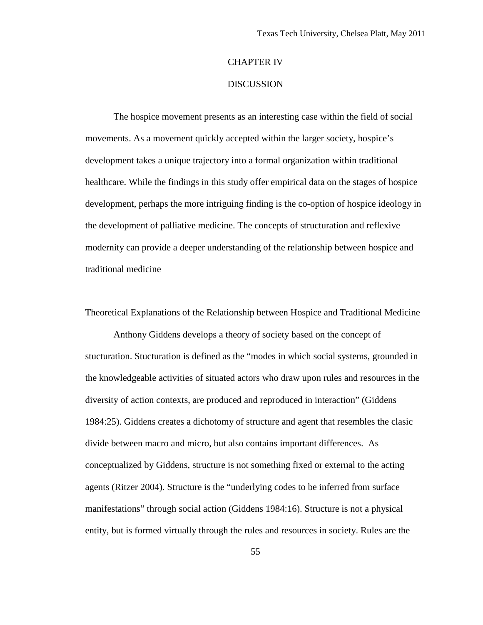# CHAPTER IV

# **DISCUSSION**

The hospice movement presents as an interesting case within the field of social movements. As a movement quickly accepted within the larger society, hospice's development takes a unique trajectory into a formal organization within traditional healthcare. While the findings in this study offer empirical data on the stages of hospice development, perhaps the more intriguing finding is the co-option of hospice ideology in the development of palliative medicine. The concepts of structuration and reflexive modernity can provide a deeper understanding of the relationship between hospice and traditional medicine

Theoretical Explanations of the Relationship between Hospice and Traditional Medicine

Anthony Giddens develops a theory of society based on the concept of stucturation. Stucturation is defined as the "modes in which social systems, grounded in the knowledgeable activities of situated actors who draw upon rules and resources in the diversity of action contexts, are produced and reproduced in interaction" (Giddens 1984:25). Giddens creates a dichotomy of structure and agent that resembles the clasic divide between macro and micro, but also contains important differences. As conceptualized by Giddens, structure is not something fixed or external to the acting agents (Ritzer 2004). Structure is the "underlying codes to be inferred from surface manifestations" through social action (Giddens 1984:16). Structure is not a physical entity, but is formed virtually through the rules and resources in society. Rules are the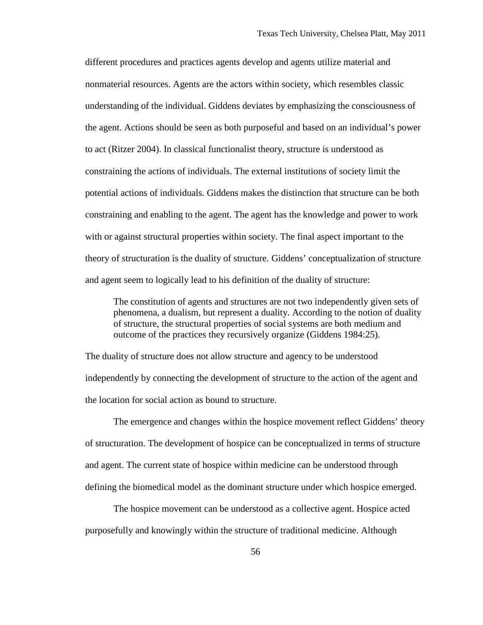different procedures and practices agents develop and agents utilize material and nonmaterial resources. Agents are the actors within society, which resembles classic understanding of the individual. Giddens deviates by emphasizing the consciousness of the agent. Actions should be seen as both purposeful and based on an individual's power to act (Ritzer 2004). In classical functionalist theory, structure is understood as constraining the actions of individuals. The external institutions of society limit the potential actions of individuals. Giddens makes the distinction that structure can be both constraining and enabling to the agent. The agent has the knowledge and power to work with or against structural properties within society. The final aspect important to the theory of structuration is the duality of structure. Giddens' conceptualization of structure and agent seem to logically lead to his definition of the duality of structure:

The constitution of agents and structures are not two independently given sets of phenomena, a dualism, but represent a duality. According to the notion of duality of structure, the structural properties of social systems are both medium and outcome of the practices they recursively organize (Giddens 1984:25).

The duality of structure does not allow structure and agency to be understood independently by connecting the development of structure to the action of the agent and the location for social action as bound to structure.

The emergence and changes within the hospice movement reflect Giddens' theory of structuration. The development of hospice can be conceptualized in terms of structure and agent. The current state of hospice within medicine can be understood through defining the biomedical model as the dominant structure under which hospice emerged.

The hospice movement can be understood as a collective agent. Hospice acted purposefully and knowingly within the structure of traditional medicine. Although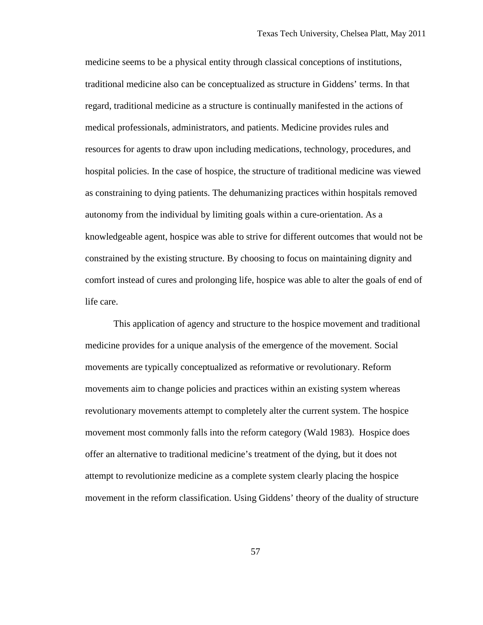medicine seems to be a physical entity through classical conceptions of institutions, traditional medicine also can be conceptualized as structure in Giddens' terms. In that regard, traditional medicine as a structure is continually manifested in the actions of medical professionals, administrators, and patients. Medicine provides rules and resources for agents to draw upon including medications, technology, procedures, and hospital policies. In the case of hospice, the structure of traditional medicine was viewed as constraining to dying patients. The dehumanizing practices within hospitals removed autonomy from the individual by limiting goals within a cure-orientation. As a knowledgeable agent, hospice was able to strive for different outcomes that would not be constrained by the existing structure. By choosing to focus on maintaining dignity and comfort instead of cures and prolonging life, hospice was able to alter the goals of end of life care.

This application of agency and structure to the hospice movement and traditional medicine provides for a unique analysis of the emergence of the movement. Social movements are typically conceptualized as reformative or revolutionary. Reform movements aim to change policies and practices within an existing system whereas revolutionary movements attempt to completely alter the current system. The hospice movement most commonly falls into the reform category (Wald 1983). Hospice does offer an alternative to traditional medicine's treatment of the dying, but it does not attempt to revolutionize medicine as a complete system clearly placing the hospice movement in the reform classification. Using Giddens' theory of the duality of structure

57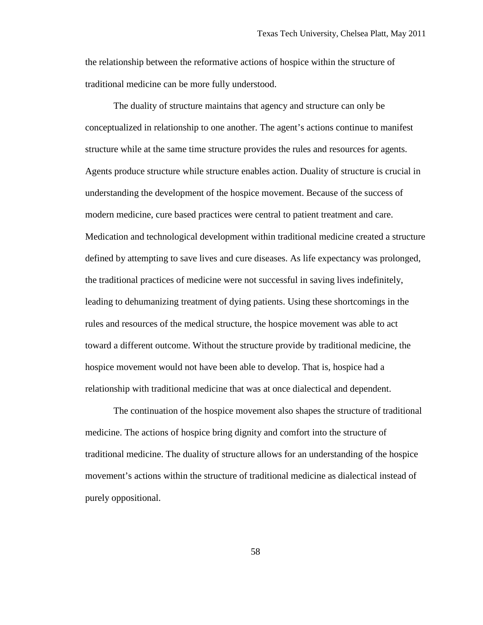the relationship between the reformative actions of hospice within the structure of traditional medicine can be more fully understood.

The duality of structure maintains that agency and structure can only be conceptualized in relationship to one another. The agent's actions continue to manifest structure while at the same time structure provides the rules and resources for agents. Agents produce structure while structure enables action. Duality of structure is crucial in understanding the development of the hospice movement. Because of the success of modern medicine, cure based practices were central to patient treatment and care. Medication and technological development within traditional medicine created a structure defined by attempting to save lives and cure diseases. As life expectancy was prolonged, the traditional practices of medicine were not successful in saving lives indefinitely, leading to dehumanizing treatment of dying patients. Using these shortcomings in the rules and resources of the medical structure, the hospice movement was able to act toward a different outcome. Without the structure provide by traditional medicine, the hospice movement would not have been able to develop. That is, hospice had a relationship with traditional medicine that was at once dialectical and dependent.

The continuation of the hospice movement also shapes the structure of traditional medicine. The actions of hospice bring dignity and comfort into the structure of traditional medicine. The duality of structure allows for an understanding of the hospice movement's actions within the structure of traditional medicine as dialectical instead of purely oppositional.

58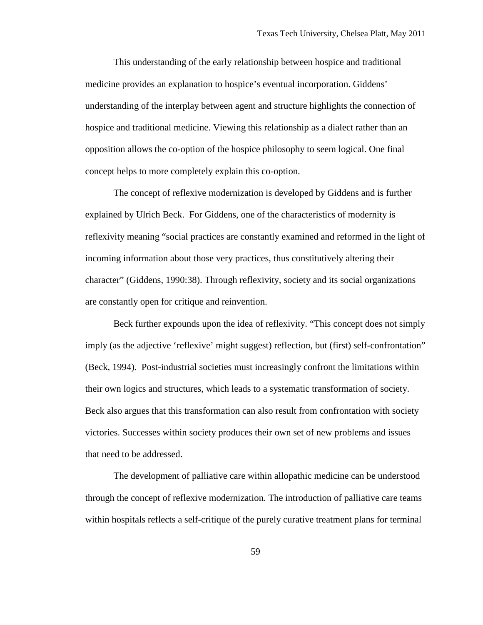This understanding of the early relationship between hospice and traditional medicine provides an explanation to hospice's eventual incorporation. Giddens' understanding of the interplay between agent and structure highlights the connection of hospice and traditional medicine. Viewing this relationship as a dialect rather than an opposition allows the co-option of the hospice philosophy to seem logical. One final concept helps to more completely explain this co-option.

The concept of reflexive modernization is developed by Giddens and is further explained by Ulrich Beck. For Giddens, one of the characteristics of modernity is reflexivity meaning "social practices are constantly examined and reformed in the light of incoming information about those very practices, thus constitutively altering their character" (Giddens, 1990:38). Through reflexivity, society and its social organizations are constantly open for critique and reinvention.

Beck further expounds upon the idea of reflexivity. "This concept does not simply imply (as the adjective 'reflexive' might suggest) reflection, but (first) self-confrontation" (Beck, 1994). Post-industrial societies must increasingly confront the limitations within their own logics and structures, which leads to a systematic transformation of society. Beck also argues that this transformation can also result from confrontation with society victories. Successes within society produces their own set of new problems and issues that need to be addressed.

The development of palliative care within allopathic medicine can be understood through the concept of reflexive modernization. The introduction of palliative care teams within hospitals reflects a self-critique of the purely curative treatment plans for terminal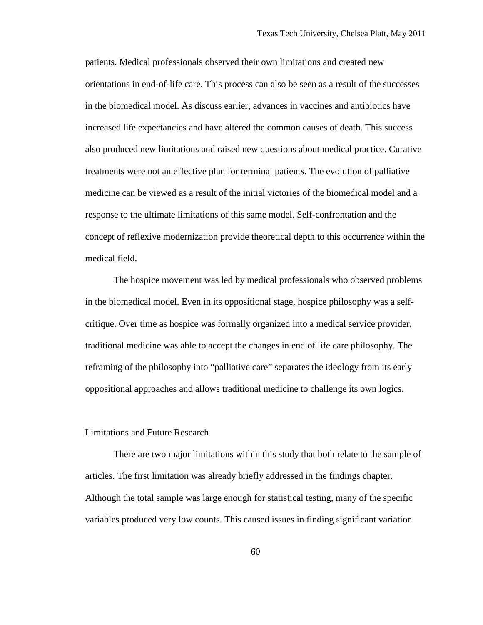patients. Medical professionals observed their own limitations and created new orientations in end-of-life care. This process can also be seen as a result of the successes in the biomedical model. As discuss earlier, advances in vaccines and antibiotics have increased life expectancies and have altered the common causes of death. This success also produced new limitations and raised new questions about medical practice. Curative treatments were not an effective plan for terminal patients. The evolution of palliative medicine can be viewed as a result of the initial victories of the biomedical model and a response to the ultimate limitations of this same model. Self-confrontation and the concept of reflexive modernization provide theoretical depth to this occurrence within the medical field.

The hospice movement was led by medical professionals who observed problems in the biomedical model. Even in its oppositional stage, hospice philosophy was a selfcritique. Over time as hospice was formally organized into a medical service provider, traditional medicine was able to accept the changes in end of life care philosophy. The reframing of the philosophy into "palliative care" separates the ideology from its early oppositional approaches and allows traditional medicine to challenge its own logics.

#### Limitations and Future Research

There are two major limitations within this study that both relate to the sample of articles. The first limitation was already briefly addressed in the findings chapter. Although the total sample was large enough for statistical testing, many of the specific variables produced very low counts. This caused issues in finding significant variation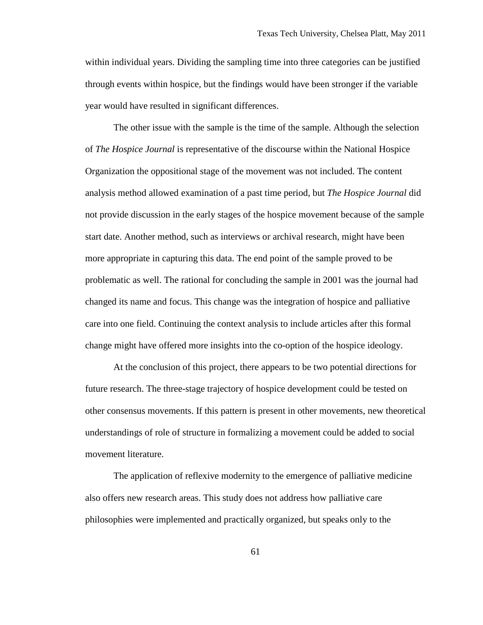within individual years. Dividing the sampling time into three categories can be justified through events within hospice, but the findings would have been stronger if the variable year would have resulted in significant differences.

The other issue with the sample is the time of the sample. Although the selection of *The Hospice Journal* is representative of the discourse within the National Hospice Organization the oppositional stage of the movement was not included. The content analysis method allowed examination of a past time period, but *The Hospice Journal* did not provide discussion in the early stages of the hospice movement because of the sample start date. Another method, such as interviews or archival research, might have been more appropriate in capturing this data. The end point of the sample proved to be problematic as well. The rational for concluding the sample in 2001 was the journal had changed its name and focus. This change was the integration of hospice and palliative care into one field. Continuing the context analysis to include articles after this formal change might have offered more insights into the co-option of the hospice ideology.

At the conclusion of this project, there appears to be two potential directions for future research. The three-stage trajectory of hospice development could be tested on other consensus movements. If this pattern is present in other movements, new theoretical understandings of role of structure in formalizing a movement could be added to social movement literature.

The application of reflexive modernity to the emergence of palliative medicine also offers new research areas. This study does not address how palliative care philosophies were implemented and practically organized, but speaks only to the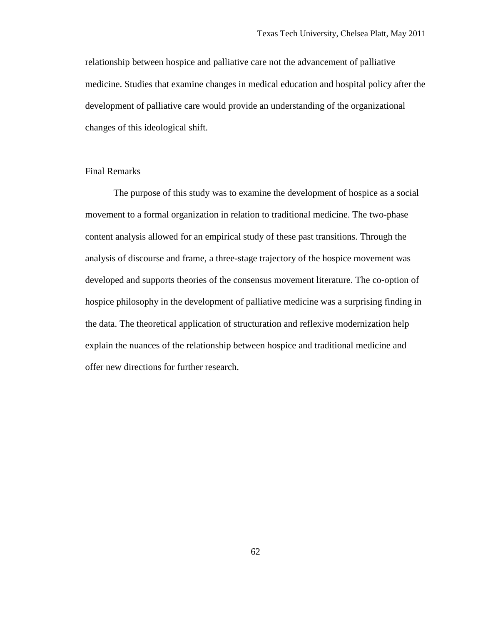relationship between hospice and palliative care not the advancement of palliative medicine. Studies that examine changes in medical education and hospital policy after the development of palliative care would provide an understanding of the organizational changes of this ideological shift.

# Final Remarks

The purpose of this study was to examine the development of hospice as a social movement to a formal organization in relation to traditional medicine. The two-phase content analysis allowed for an empirical study of these past transitions. Through the analysis of discourse and frame, a three-stage trajectory of the hospice movement was developed and supports theories of the consensus movement literature. The co-option of hospice philosophy in the development of palliative medicine was a surprising finding in the data. The theoretical application of structuration and reflexive modernization help explain the nuances of the relationship between hospice and traditional medicine and offer new directions for further research.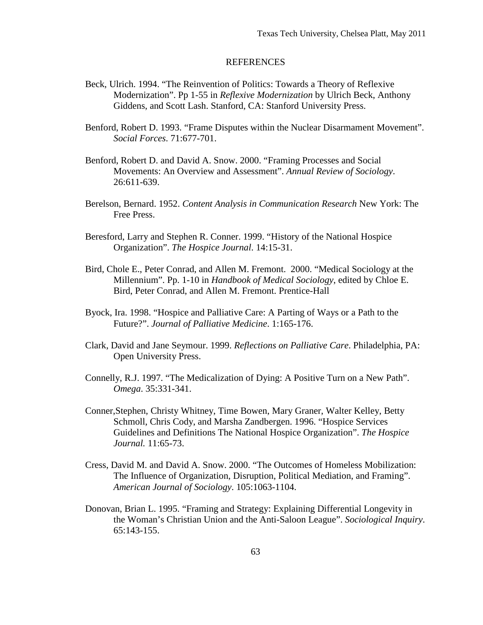# REFERENCES

- Beck, Ulrich. 1994. "The Reinvention of Politics: Towards a Theory of Reflexive Modernization". Pp 1-55 in *Reflexive Modernization* by Ulrich Beck, Anthony Giddens, and Scott Lash. Stanford, CA: Stanford University Press.
- Benford, Robert D. 1993. "Frame Disputes within the Nuclear Disarmament Movement". *Social Forces*. 71:677-701.
- Benford, Robert D. and David A. Snow. 2000. "Framing Processes and Social Movements: An Overview and Assessment". *Annual Review of Sociology*. 26:611-639.
- Berelson, Bernard. 1952. *Content Analysis in Communication Research* New York: The Free Press.
- Beresford, Larry and Stephen R. Conner. 1999. "History of the National Hospice Organization". *The Hospice Journal*. 14:15-31.
- Bird, Chole E., Peter Conrad, and Allen M. Fremont. 2000. "Medical Sociology at the Millennium". Pp. 1-10 in *Handbook of Medical Sociology*, edited by Chloe E. Bird, Peter Conrad, and Allen M. Fremont. Prentice-Hall
- Byock, Ira. 1998. "Hospice and Palliative Care: A Parting of Ways or a Path to the Future?". *Journal of Palliative Medicine*. 1:165-176.
- Clark, David and Jane Seymour. 1999. *Reflections on Palliative Care*. Philadelphia, PA: Open University Press.
- Connelly, R.J. 1997. "The Medicalization of Dying: A Positive Turn on a New Path". *Omega*. 35:331-341.
- Conner,Stephen, Christy Whitney, Time Bowen, Mary Graner, Walter Kelley, Betty Schmoll, Chris Cody, and Marsha Zandbergen. 1996. "Hospice Services Guidelines and Definitions The National Hospice Organization". *The Hospice Journal.* 11:65-73.
- Cress, David M. and David A. Snow. 2000. "The Outcomes of Homeless Mobilization: The Influence of Organization, Disruption, Political Mediation, and Framing". *American Journal of Sociology*. 105:1063-1104.
- Donovan, Brian L. 1995. "Framing and Strategy: Explaining Differential Longevity in the Woman's Christian Union and the Anti-Saloon League". *Sociological Inquiry*. 65:143-155.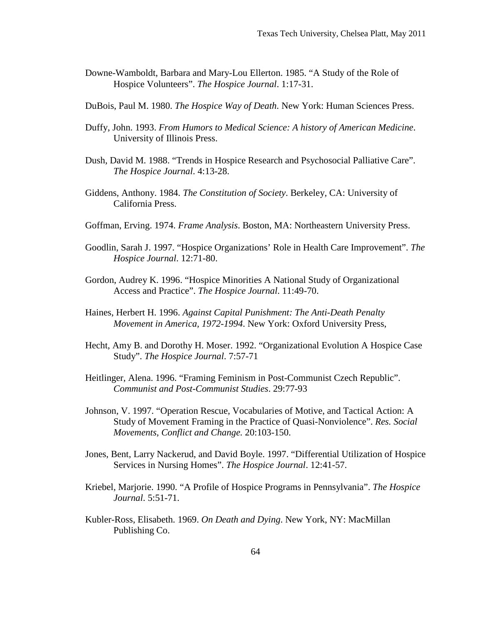- Downe-Wamboldt, Barbara and Mary-Lou Ellerton. 1985. "A Study of the Role of Hospice Volunteers". *The Hospice Journal*. 1:17-31.
- DuBois, Paul M. 1980. *The Hospice Way of Death.* New York: Human Sciences Press.
- Duffy, John. 1993. *From Humors to Medical Science: A history of American Medicine*. University of Illinois Press.
- Dush, David M. 1988. "Trends in Hospice Research and Psychosocial Palliative Care". *The Hospice Journal*. 4:13-28.
- Giddens, Anthony. 1984. *The Constitution of Society*. Berkeley, CA: University of California Press.
- Goffman, Erving. 1974. *Frame Analysis*. Boston, MA: Northeastern University Press.
- Goodlin, Sarah J. 1997. "Hospice Organizations' Role in Health Care Improvement". *The Hospice Journal*. 12:71-80.
- Gordon, Audrey K. 1996. "Hospice Minorities A National Study of Organizational Access and Practice". *The Hospice Journal*. 11:49-70.
- Haines, Herbert H. 1996. *Against Capital Punishment: The Anti-Death Penalty Movement in America, 1972-1994*. New York: Oxford University Press,
- Hecht, Amy B. and Dorothy H. Moser. 1992. "Organizational Evolution A Hospice Case Study". *The Hospice Journal*. 7:57-71
- Heitlinger, Alena. 1996. "Framing Feminism in Post-Communist Czech Republic". *Communist and Post-Communist Studies*. 29:77-93
- Johnson, V. 1997. "Operation Rescue, Vocabularies of Motive, and Tactical Action: A Study of Movement Framing in the Practice of Quasi-Nonviolence". *Res. Social Movements, Conflict and Change.* 20:103-150.
- Jones, Bent, Larry Nackerud, and David Boyle. 1997. "Differential Utilization of Hospice Services in Nursing Homes". *The Hospice Journal*. 12:41-57.
- Kriebel, Marjorie. 1990. "A Profile of Hospice Programs in Pennsylvania". *The Hospice Journal*. 5:51-71.
- Kubler-Ross, Elisabeth. 1969. *On Death and Dying*. New York, NY: MacMillan Publishing Co.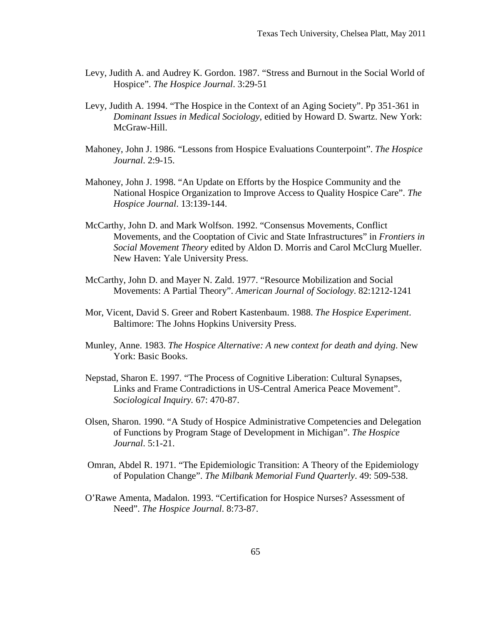- Levy, Judith A. and Audrey K. Gordon. 1987. "Stress and Burnout in the Social World of Hospice". *The Hospice Journal*. 3:29-51
- Levy, Judith A. 1994. "The Hospice in the Context of an Aging Society". Pp 351-361 in *Dominant Issues in Medical Sociology*, editied by Howard D. Swartz. New York: McGraw-Hill.
- Mahoney, John J. 1986. "Lessons from Hospice Evaluations Counterpoint". *The Hospice Journal*. 2:9-15.
- Mahoney, John J. 1998. "An Update on Efforts by the Hospice Community and the National Hospice Organization to Improve Access to Quality Hospice Care". *The Hospice Journal*. 13:139-144.
- McCarthy, John D. and Mark Wolfson. 1992. "Consensus Movements, Conflict Movements, and the Cooptation of Civic and State Infrastructures" in *Frontiers in Social Movement Theory* edited by Aldon D. Morris and Carol McClurg Mueller. New Haven: Yale University Press.
- McCarthy, John D. and Mayer N. Zald. 1977. "Resource Mobilization and Social Movements: A Partial Theory". *American Journal of Sociology*. 82:1212-1241
- Mor, Vicent, David S. Greer and Robert Kastenbaum. 1988. *The Hospice Experiment*. Baltimore: The Johns Hopkins University Press.
- Munley, Anne. 1983. *The Hospice Alternative: A new context for death and dying*. New York: Basic Books.
- Nepstad, Sharon E. 1997. "The Process of Cognitive Liberation: Cultural Synapses, Links and Frame Contradictions in US-Central America Peace Movement". *Sociological Inquiry.* 67: 470-87.
- Olsen, Sharon. 1990. "A Study of Hospice Administrative Competencies and Delegation of Functions by Program Stage of Development in Michigan". *The Hospice Journal*. 5:1-21.
- Omran, Abdel R. 1971. "The Epidemiologic Transition: A Theory of the Epidemiology of Population Change". *The Milbank Memorial Fund Quarterly*. 49: 509-538.
- O'Rawe Amenta, Madalon. 1993. "Certification for Hospice Nurses? Assessment of Need". *The Hospice Journal*. 8:73-87.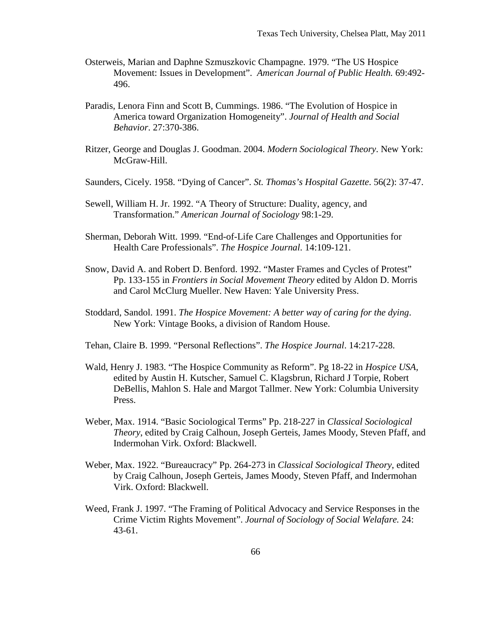- Osterweis, Marian and Daphne Szmuszkovic Champagne. 1979. "The US Hospice Movement: Issues in Development". *American Journal of Public Health.* 69:492- 496.
- Paradis, Lenora Finn and Scott B, Cummings. 1986. "The Evolution of Hospice in America toward Organization Homogeneity". *Journal of Health and Social Behavior*. 27:370-386.
- Ritzer, George and Douglas J. Goodman. 2004. *Modern Sociological Theory*. New York: McGraw-Hill.
- Saunders, Cicely. 1958. "Dying of Cancer". *St. Thomas's Hospital Gazette*. 56(2): 37-47.
- Sewell, William H. Jr. 1992. "A Theory of Structure: Duality, agency, and Transformation." *American Journal of Sociology* 98:1-29.
- Sherman, Deborah Witt. 1999. "End-of-Life Care Challenges and Opportunities for Health Care Professionals". *The Hospice Journal*. 14:109-121.
- Snow, David A. and Robert D. Benford. 1992. "Master Frames and Cycles of Protest" Pp. 133-155 in *Frontiers in Social Movement Theory* edited by Aldon D. Morris and Carol McClurg Mueller. New Haven: Yale University Press.
- Stoddard, Sandol. 1991. *The Hospice Movement: A better way of caring for the dying*. New York: Vintage Books, a division of Random House.
- Tehan, Claire B. 1999. "Personal Reflections". *The Hospice Journal*. 14:217-228.
- Wald, Henry J. 1983. "The Hospice Community as Reform". Pg 18-22 in *Hospice USA,* edited by Austin H. Kutscher, Samuel C. Klagsbrun, Richard J Torpie, Robert DeBellis, Mahlon S. Hale and Margot Tallmer. New York: Columbia University Press.
- Weber, Max. 1914. "Basic Sociological Terms" Pp. 218-227 in *Classical Sociological Theory*, edited by Craig Calhoun, Joseph Gerteis, James Moody, Steven Pfaff, and Indermohan Virk. Oxford: Blackwell.
- Weber, Max. 1922. "Bureaucracy" Pp. 264-273 in *Classical Sociological Theory*, edited by Craig Calhoun, Joseph Gerteis, James Moody, Steven Pfaff, and Indermohan Virk. Oxford: Blackwell.
- Weed, Frank J. 1997. "The Framing of Political Advocacy and Service Responses in the Crime Victim Rights Movement". *Journal of Sociology of Social Welafare.* 24: 43-61.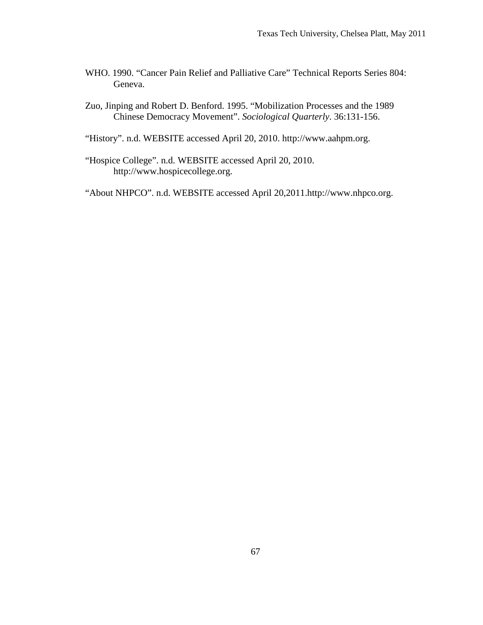- WHO. 1990. "Cancer Pain Relief and Palliative Care" Technical Reports Series 804: Geneva.
- Zuo, Jinping and Robert D. Benford. 1995. "Mobilization Processes and the 1989 Chinese Democracy Movement". *Sociological Quarterly*. 36:131-156.
- "History". n.d. WEBSITE accessed April 20, 2010. http://www.aahpm.org.
- "Hospice College". n.d. WEBSITE accessed April 20, 2010. http://www.hospicecollege.org.

"About NHPCO". n.d. WEBSITE accessed April 20,2011.http://www.nhpco.org.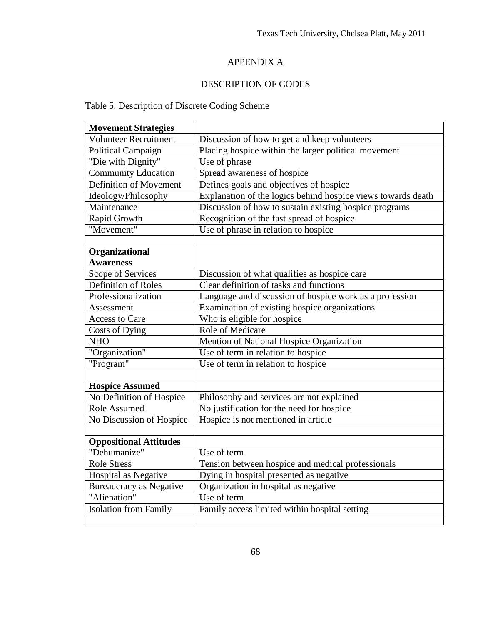### APPENDIX A

### DESCRIPTION OF CODES

## Table 5. Description of Discrete Coding Scheme

| <b>Movement Strategies</b>     |                                                              |  |  |  |  |  |
|--------------------------------|--------------------------------------------------------------|--|--|--|--|--|
| <b>Volunteer Recruitment</b>   | Discussion of how to get and keep volunteers                 |  |  |  |  |  |
| Political Campaign             | Placing hospice within the larger political movement         |  |  |  |  |  |
| "Die with Dignity"             | $\overline{Use}$ of phrase                                   |  |  |  |  |  |
| <b>Community Education</b>     | Spread awareness of hospice                                  |  |  |  |  |  |
| Definition of Movement         | Defines goals and objectives of hospice                      |  |  |  |  |  |
| Ideology/Philosophy            | Explanation of the logics behind hospice views towards death |  |  |  |  |  |
| Maintenance                    | Discussion of how to sustain existing hospice programs       |  |  |  |  |  |
| <b>Rapid Growth</b>            | Recognition of the fast spread of hospice                    |  |  |  |  |  |
| "Movement"                     | Use of phrase in relation to hospice                         |  |  |  |  |  |
|                                |                                                              |  |  |  |  |  |
| Organizational                 |                                                              |  |  |  |  |  |
| <b>Awareness</b>               |                                                              |  |  |  |  |  |
| Scope of Services              | Discussion of what qualifies as hospice care                 |  |  |  |  |  |
| Definition of Roles            | Clear definition of tasks and functions                      |  |  |  |  |  |
| Professionalization            | Language and discussion of hospice work as a profession      |  |  |  |  |  |
| Assessment                     | Examination of existing hospice organizations                |  |  |  |  |  |
| <b>Access to Care</b>          | Who is eligible for hospice                                  |  |  |  |  |  |
| Costs of Dying                 | Role of Medicare                                             |  |  |  |  |  |
| <b>NHO</b>                     | Mention of National Hospice Organization                     |  |  |  |  |  |
| "Organization"                 | Use of term in relation to hospice                           |  |  |  |  |  |
| "Program"                      | Use of term in relation to hospice                           |  |  |  |  |  |
|                                |                                                              |  |  |  |  |  |
| <b>Hospice Assumed</b>         |                                                              |  |  |  |  |  |
| No Definition of Hospice       | Philosophy and services are not explained                    |  |  |  |  |  |
| Role Assumed                   | No justification for the need for hospice                    |  |  |  |  |  |
| No Discussion of Hospice       | Hospice is not mentioned in article                          |  |  |  |  |  |
|                                |                                                              |  |  |  |  |  |
| <b>Oppositional Attitudes</b>  |                                                              |  |  |  |  |  |
| "Dehumanize"                   | Use of term                                                  |  |  |  |  |  |
| <b>Role Stress</b>             | Tension between hospice and medical professionals            |  |  |  |  |  |
| Hospital as Negative           | Dying in hospital presented as negative                      |  |  |  |  |  |
| <b>Bureaucracy as Negative</b> | Organization in hospital as negative                         |  |  |  |  |  |
| "Alienation"                   | Use of term                                                  |  |  |  |  |  |
| Isolation from Family          | Family access limited within hospital setting                |  |  |  |  |  |
|                                |                                                              |  |  |  |  |  |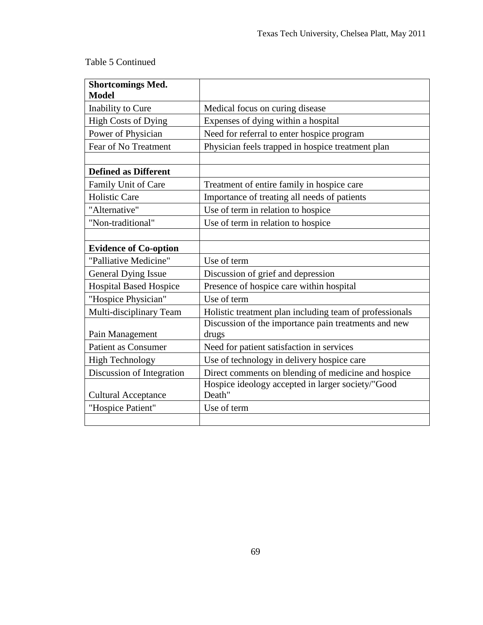# Table 5 Continued

| <b>Shortcomings Med.</b><br><b>Model</b> |                                                         |  |  |  |  |  |
|------------------------------------------|---------------------------------------------------------|--|--|--|--|--|
| Inability to Cure                        | Medical focus on curing disease                         |  |  |  |  |  |
| <b>High Costs of Dying</b>               |                                                         |  |  |  |  |  |
|                                          | Expenses of dying within a hospital                     |  |  |  |  |  |
| Power of Physician                       | Need for referral to enter hospice program              |  |  |  |  |  |
| Fear of No Treatment                     | Physician feels trapped in hospice treatment plan       |  |  |  |  |  |
|                                          |                                                         |  |  |  |  |  |
| <b>Defined as Different</b>              |                                                         |  |  |  |  |  |
| Family Unit of Care                      | Treatment of entire family in hospice care              |  |  |  |  |  |
| <b>Holistic Care</b>                     | Importance of treating all needs of patients            |  |  |  |  |  |
| "Alternative"                            | Use of term in relation to hospice                      |  |  |  |  |  |
| "Non-traditional"                        | Use of term in relation to hospice                      |  |  |  |  |  |
|                                          |                                                         |  |  |  |  |  |
| <b>Evidence of Co-option</b>             |                                                         |  |  |  |  |  |
| "Palliative Medicine"                    | Use of term                                             |  |  |  |  |  |
| <b>General Dying Issue</b>               | Discussion of grief and depression                      |  |  |  |  |  |
| <b>Hospital Based Hospice</b>            | Presence of hospice care within hospital                |  |  |  |  |  |
| "Hospice Physician"                      | Use of term                                             |  |  |  |  |  |
| Multi-disciplinary Team                  | Holistic treatment plan including team of professionals |  |  |  |  |  |
|                                          | Discussion of the importance pain treatments and new    |  |  |  |  |  |
| Pain Management                          | drugs                                                   |  |  |  |  |  |
| <b>Patient as Consumer</b>               | Need for patient satisfaction in services               |  |  |  |  |  |
| <b>High Technology</b>                   | Use of technology in delivery hospice care              |  |  |  |  |  |
| Discussion of Integration                | Direct comments on blending of medicine and hospice     |  |  |  |  |  |
|                                          | Hospice ideology accepted in larger society/"Good       |  |  |  |  |  |
| <b>Cultural Acceptance</b>               | Death"                                                  |  |  |  |  |  |
| "Hospice Patient"                        | Use of term                                             |  |  |  |  |  |
|                                          |                                                         |  |  |  |  |  |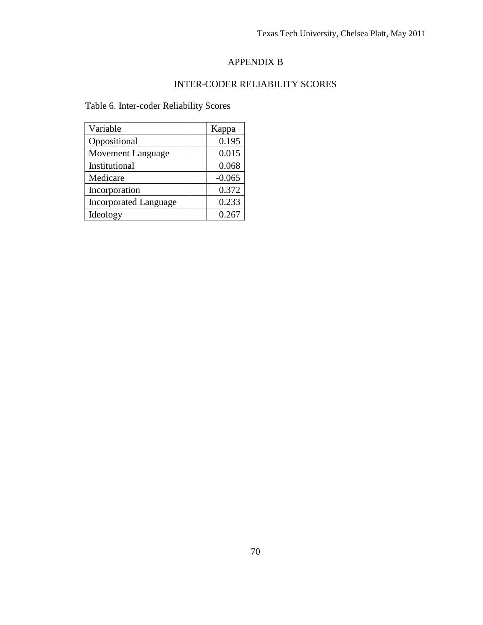#### APPENDIX B

#### INTER-CODER RELIABILITY SCORES

Table 6. Inter-coder Reliability Scores

| Variable                     | Kappa    |
|------------------------------|----------|
| Oppositional                 | 0.195    |
| Movement Language            | 0.015    |
| Institutional                | 0.068    |
| Medicare                     | $-0.065$ |
| Incorporation                | 0.372    |
| <b>Incorporated Language</b> | 0.233    |
| Ideology                     | 0.267    |